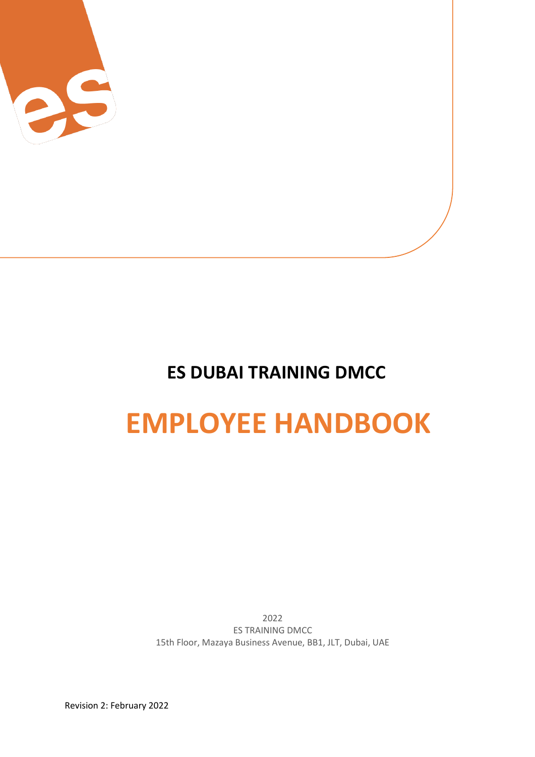

## **ES DUBAI TRAINING DMCC**

# **EMPLOYEE HANDBOOK**

2022 ES TRAINING DMCC 15th Floor, Mazaya Business Avenue, BB1, JLT, Dubai, UAE

Revision 2: February 2022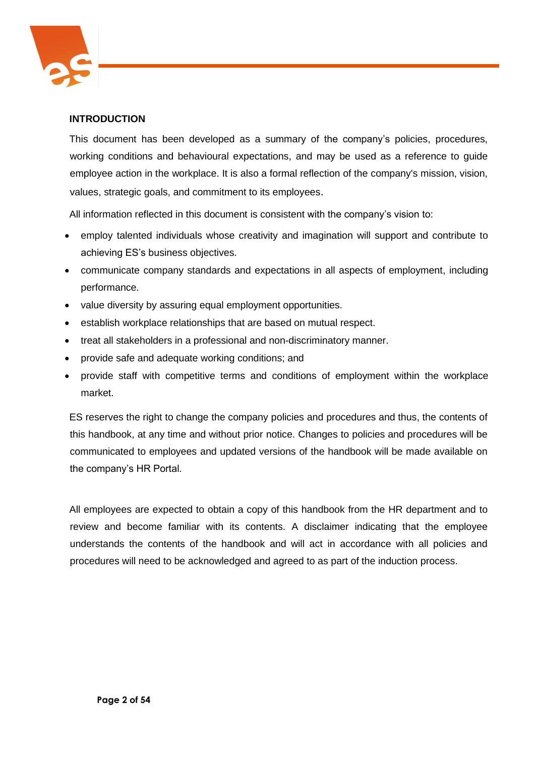

## **INTRODUCTION**

This document has been developed as a summary of the company's policies, procedures, working conditions and behavioural expectations, and may be used as a reference to guide employee action in the workplace. It is also a formal reflection of the company's mission, vision, values, strategic goals, and commitment to its employees.

All information reflected in this document is consistent with the company's vision to:

- employ talented individuals whose creativity and imagination will support and contribute to achieving ES's business objectives.
- communicate company standards and expectations in all aspects of employment, including performance.
- value diversity by assuring equal employment opportunities.
- establish workplace relationships that are based on mutual respect.
- treat all stakeholders in a professional and non-discriminatory manner.
- provide safe and adequate working conditions; and
- provide staff with competitive terms and conditions of employment within the workplace market.

ES reserves the right to change the company policies and procedures and thus, the contents of this handbook, at any time and without prior notice. Changes to policies and procedures will be communicated to employees and updated versions of the handbook will be made available on the company's HR Portal.

All employees are expected to obtain a copy of this handbook from the HR department and to review and become familiar with its contents. A disclaimer indicating that the employee understands the contents of the handbook and will act in accordance with all policies and procedures will need to be acknowledged and agreed to as part of the induction process.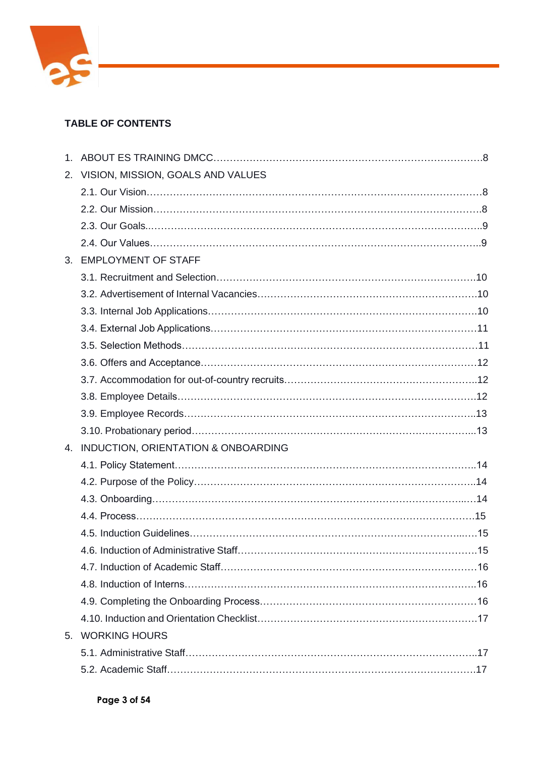

## **TABLE OF CONTENTS**

| 2. | VISION, MISSION, GOALS AND VALUES      |  |
|----|----------------------------------------|--|
|    |                                        |  |
|    |                                        |  |
|    |                                        |  |
|    |                                        |  |
|    | 3. EMPLOYMENT OF STAFF                 |  |
|    |                                        |  |
|    |                                        |  |
|    |                                        |  |
|    |                                        |  |
|    |                                        |  |
|    |                                        |  |
|    |                                        |  |
|    |                                        |  |
|    |                                        |  |
|    |                                        |  |
|    | 4. INDUCTION, ORIENTATION & ONBOARDING |  |
|    |                                        |  |
|    |                                        |  |
|    |                                        |  |
|    |                                        |  |
|    |                                        |  |
|    |                                        |  |
|    |                                        |  |
|    |                                        |  |
|    |                                        |  |
|    |                                        |  |
|    | 5. WORKING HOURS                       |  |
|    |                                        |  |
|    |                                        |  |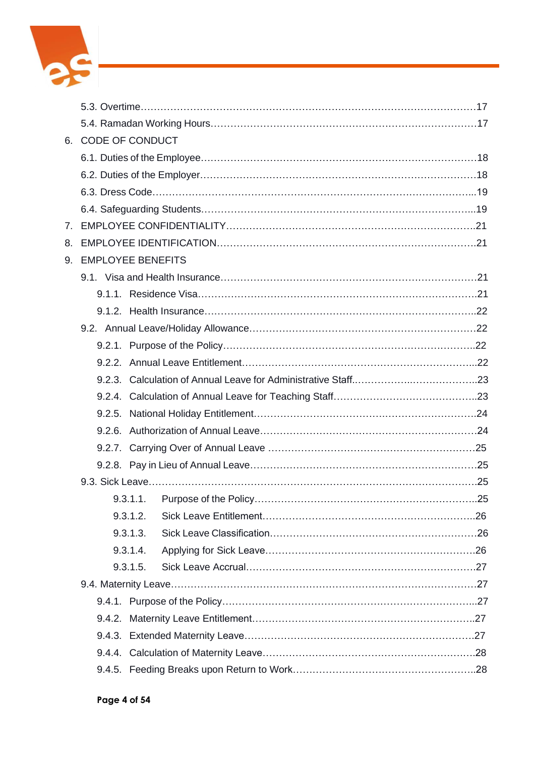

|    |        | 6. CODE OF CONDUCT   |  |
|----|--------|----------------------|--|
|    |        |                      |  |
|    |        |                      |  |
|    |        |                      |  |
|    |        |                      |  |
| 7. |        |                      |  |
| 8. |        |                      |  |
|    |        | 9. EMPLOYEE BENEFITS |  |
|    |        |                      |  |
|    |        |                      |  |
|    |        |                      |  |
|    |        |                      |  |
|    |        |                      |  |
|    |        |                      |  |
|    |        |                      |  |
|    |        |                      |  |
|    |        |                      |  |
|    |        |                      |  |
|    |        |                      |  |
|    |        |                      |  |
|    |        |                      |  |
|    |        |                      |  |
|    |        | 9.3.1.2.             |  |
|    |        | 9.3.1.3.             |  |
|    |        | 9.3.1.4.             |  |
|    |        | 9.3.1.5.             |  |
|    |        |                      |  |
|    |        |                      |  |
|    |        |                      |  |
|    | 9.4.3. |                      |  |
|    |        |                      |  |
|    |        |                      |  |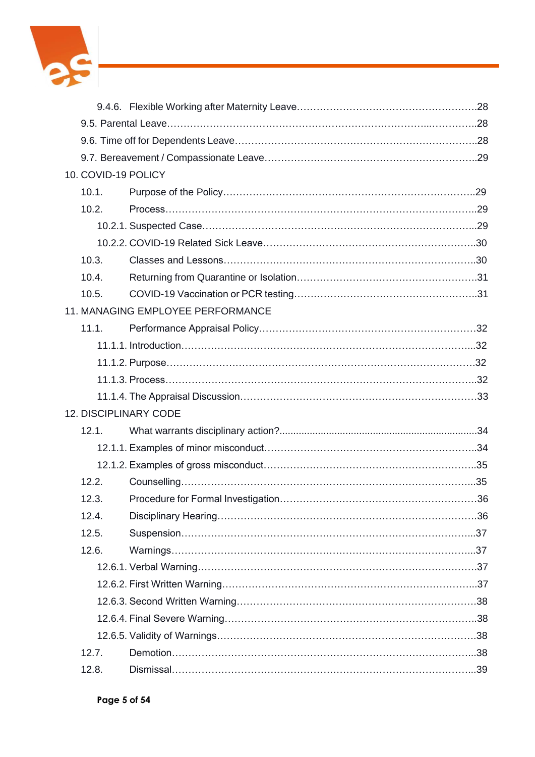

| 10. COVID-19 POLICY |                                   |  |
|---------------------|-----------------------------------|--|
| 10.1.               |                                   |  |
| 10.2.               |                                   |  |
|                     |                                   |  |
|                     |                                   |  |
| 10.3.               |                                   |  |
| 10.4.               |                                   |  |
| 10.5.               |                                   |  |
|                     | 11. MANAGING EMPLOYEE PERFORMANCE |  |
| 11.1.               |                                   |  |
|                     |                                   |  |
|                     |                                   |  |
|                     |                                   |  |
|                     |                                   |  |
|                     | 12. DISCIPLINARY CODE             |  |
| 12.1.               |                                   |  |
|                     |                                   |  |
|                     |                                   |  |
| 12.2.               |                                   |  |
| 12.3.               |                                   |  |
| 12.4.               |                                   |  |
| 12.5.               |                                   |  |
| 12.6.               |                                   |  |
|                     |                                   |  |
|                     |                                   |  |
|                     |                                   |  |
|                     |                                   |  |
|                     |                                   |  |
| 12.7.               |                                   |  |
| 12.8.               |                                   |  |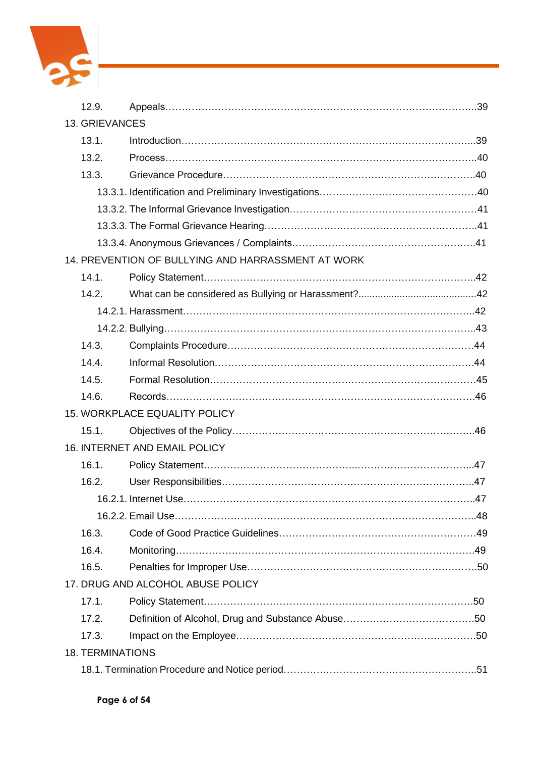

| 12.9.                   |                                                     |  |  |  |  |  |
|-------------------------|-----------------------------------------------------|--|--|--|--|--|
|                         | <b>13. GRIEVANCES</b>                               |  |  |  |  |  |
| 13.1.                   |                                                     |  |  |  |  |  |
| 13.2.                   |                                                     |  |  |  |  |  |
| 13.3.                   |                                                     |  |  |  |  |  |
|                         |                                                     |  |  |  |  |  |
|                         |                                                     |  |  |  |  |  |
|                         |                                                     |  |  |  |  |  |
|                         |                                                     |  |  |  |  |  |
|                         | 14. PREVENTION OF BULLYING AND HARRASSMENT AT WORK  |  |  |  |  |  |
| 14.1.                   |                                                     |  |  |  |  |  |
| 14.2.                   |                                                     |  |  |  |  |  |
|                         |                                                     |  |  |  |  |  |
|                         |                                                     |  |  |  |  |  |
| 14.3.                   |                                                     |  |  |  |  |  |
| 14.4.                   |                                                     |  |  |  |  |  |
| 14.5.                   |                                                     |  |  |  |  |  |
| 14.6.                   |                                                     |  |  |  |  |  |
|                         | <b>15. WORKPLACE EQUALITY POLICY</b>                |  |  |  |  |  |
| 15.1.                   |                                                     |  |  |  |  |  |
|                         | 16. INTERNET AND EMAIL POLICY                       |  |  |  |  |  |
| 16.1.                   |                                                     |  |  |  |  |  |
| 16.2.                   |                                                     |  |  |  |  |  |
|                         | 16.2.1. Internet Use……………………………………………………………………………47 |  |  |  |  |  |
|                         |                                                     |  |  |  |  |  |
| 16.3.                   |                                                     |  |  |  |  |  |
| 16.4.                   |                                                     |  |  |  |  |  |
| 16.5.                   |                                                     |  |  |  |  |  |
|                         | 17. DRUG AND ALCOHOL ABUSE POLICY                   |  |  |  |  |  |
| 17.1.                   |                                                     |  |  |  |  |  |
| 17.2.                   |                                                     |  |  |  |  |  |
| 17.3.                   |                                                     |  |  |  |  |  |
| <b>18. TERMINATIONS</b> |                                                     |  |  |  |  |  |
|                         |                                                     |  |  |  |  |  |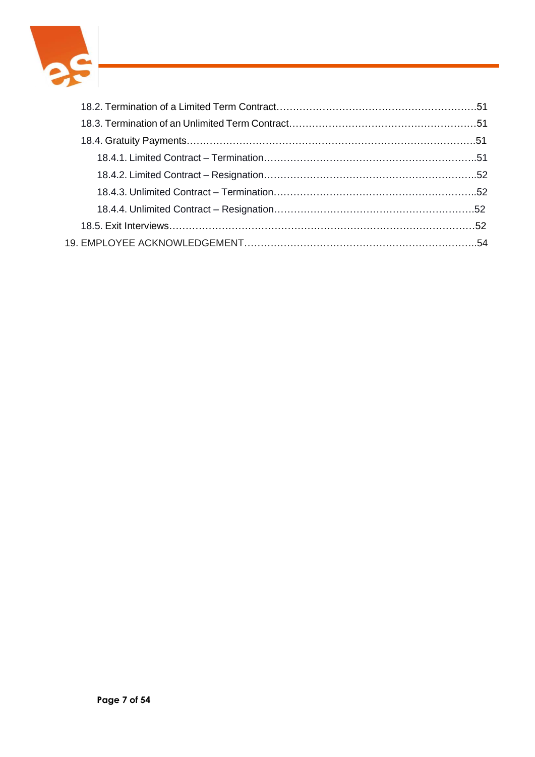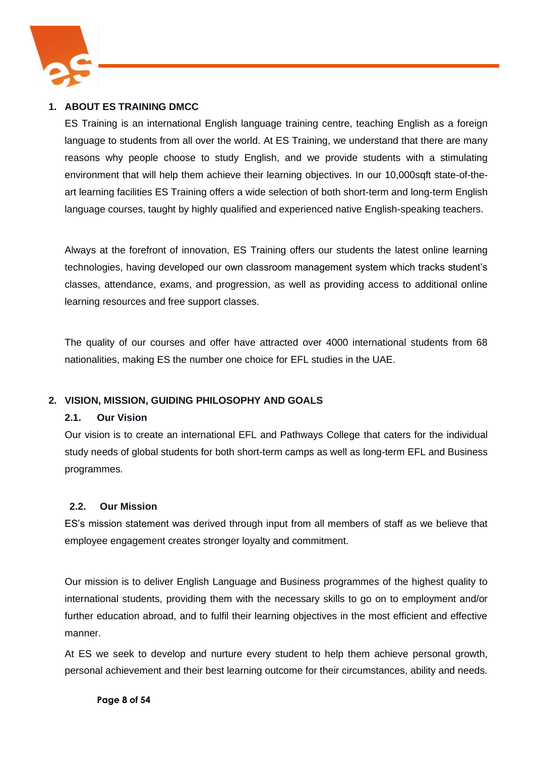

## **1. ABOUT ES TRAINING DMCC**

ES Training is an international English language training centre, teaching English as a foreign language to students from all over the world. At ES Training, we understand that there are many reasons why people choose to study English, and we provide students with a stimulating environment that will help them achieve their learning objectives. In our 10,000sqft state-of-theart learning facilities ES Training offers a wide selection of both short-term and long-term English language courses, taught by highly qualified and experienced native English-speaking teachers.

Always at the forefront of innovation, ES Training offers our students the latest online learning technologies, having developed our own classroom management system which tracks student's classes, attendance, exams, and progression, as well as providing access to additional online learning resources and free support classes.

The quality of our courses and offer have attracted over 4000 international students from 68 nationalities, making ES the number one choice for EFL studies in the UAE.

## **2. VISION, MISSION, GUIDING PHILOSOPHY AND GOALS**

## **2.1. Our Vision**

Our vision is to create an international EFL and Pathways College that caters for the individual study needs of global students for both short-term camps as well as long-term EFL and Business programmes.

## **2.2. Our Mission**

ES's mission statement was derived through input from all members of staff as we believe that employee engagement creates stronger loyalty and commitment.

Our mission is to deliver English Language and Business programmes of the highest quality to international students, providing them with the necessary skills to go on to employment and/or further education abroad, and to fulfil their learning objectives in the most efficient and effective manner.

At ES we seek to develop and nurture every student to help them achieve personal growth, personal achievement and their best learning outcome for their circumstances, ability and needs.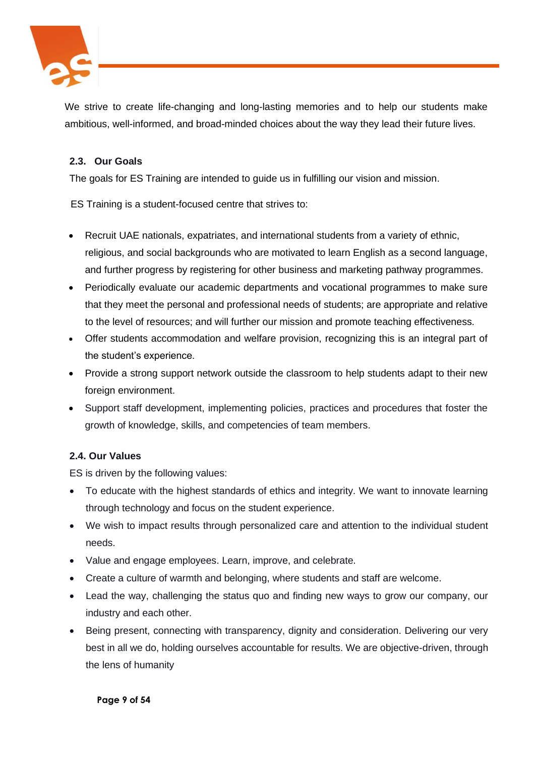

We strive to create life-changing and long-lasting memories and to help our students make ambitious, well-informed, and broad-minded choices about the way they lead their future lives.

## **2.3. Our Goals**

The goals for ES Training are intended to guide us in fulfilling our vision and mission.

ES Training is a student-focused centre that strives to:

- Recruit UAE nationals, expatriates, and international students from a variety of ethnic, religious, and social backgrounds who are motivated to learn English as a second language, and further progress by registering for other business and marketing pathway programmes.
- Periodically evaluate our academic departments and vocational programmes to make sure that they meet the personal and professional needs of students; are appropriate and relative to the level of resources; and will further our mission and promote teaching effectiveness.
- Offer students accommodation and welfare provision, recognizing this is an integral part of the student's experience.
- Provide a strong support network outside the classroom to help students adapt to their new foreign environment.
- Support staff development, implementing policies, practices and procedures that foster the growth of knowledge, skills, and competencies of team members.

## **2.4. Our Values**

ES is driven by the following values:

- To educate with the highest standards of ethics and integrity. We want to innovate learning through technology and focus on the student experience.
- We wish to impact results through personalized care and attention to the individual student needs.
- Value and engage employees. Learn, improve, and celebrate.
- Create a culture of warmth and belonging, where students and staff are welcome.
- Lead the way, challenging the status quo and finding new ways to grow our company, our industry and each other.
- Being present, connecting with transparency, dignity and consideration. Delivering our very best in all we do, holding ourselves accountable for results. We are objective-driven, through the lens of humanity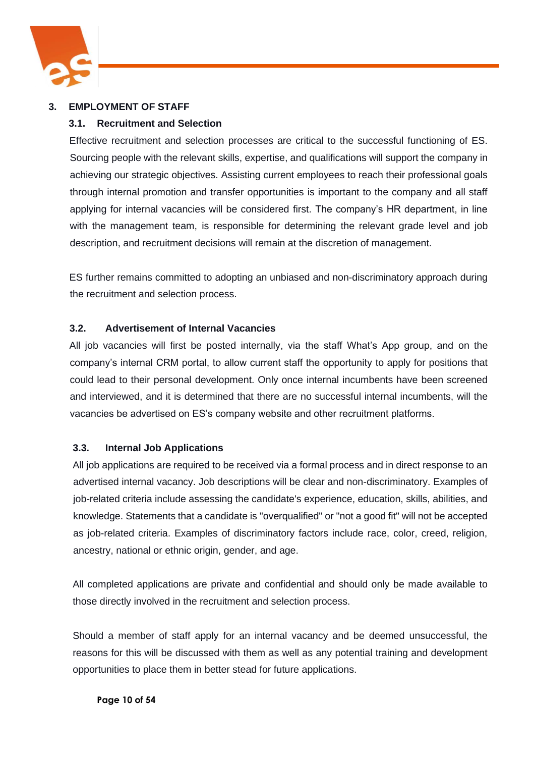

## **3. EMPLOYMENT OF STAFF**

## **3.1. Recruitment and Selection**

Effective recruitment and selection processes are critical to the successful functioning of ES. Sourcing people with the relevant skills, expertise, and qualifications will support the company in achieving our strategic objectives. Assisting current employees to reach their professional goals through internal promotion and transfer opportunities is important to the company and all staff applying for internal vacancies will be considered first. The company's HR department, in line with the management team, is responsible for determining the relevant grade level and job description, and recruitment decisions will remain at the discretion of management.

ES further remains committed to adopting an unbiased and non-discriminatory approach during the recruitment and selection process.

## **3.2. Advertisement of Internal Vacancies**

All job vacancies will first be posted internally, via the staff What's App group, and on the company's internal CRM portal, to allow current staff the opportunity to apply for positions that could lead to their personal development. Only once internal incumbents have been screened and interviewed, and it is determined that there are no successful internal incumbents, will the vacancies be advertised on ES's company website and other recruitment platforms.

## **3.3. Internal Job Applications**

All job applications are required to be received via a formal process and in direct response to an advertised internal vacancy. Job descriptions will be clear and non-discriminatory. Examples of job-related criteria include assessing the candidate's experience, education, skills, abilities, and knowledge. Statements that a candidate is "overqualified" or "not a good fit" will not be accepted as job-related criteria. Examples of discriminatory factors include race, color, creed, religion, ancestry, national or ethnic origin, gender, and age.

All completed applications are private and confidential and should only be made available to those directly involved in the recruitment and selection process.

Should a member of staff apply for an internal vacancy and be deemed unsuccessful, the reasons for this will be discussed with them as well as any potential training and development opportunities to place them in better stead for future applications.

#### **Page 10 of 54**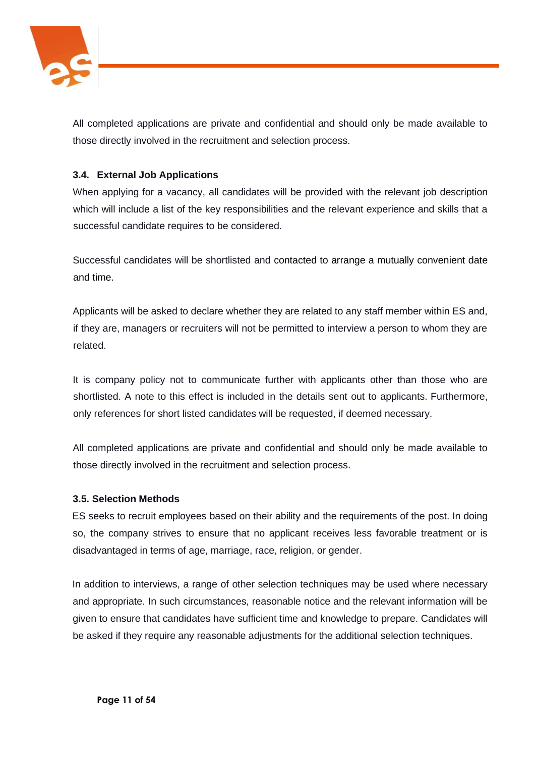

All completed applications are private and confidential and should only be made available to those directly involved in the recruitment and selection process.

## **3.4. External Job Applications**

When applying for a vacancy, all candidates will be provided with the relevant job description which will include a list of the key responsibilities and the relevant experience and skills that a successful candidate requires to be considered.

Successful candidates will be shortlisted and contacted to arrange a mutually convenient date and time.

Applicants will be asked to declare whether they are related to any staff member within ES and, if they are, managers or recruiters will not be permitted to interview a person to whom they are related.

It is company policy not to communicate further with applicants other than those who are shortlisted. A note to this effect is included in the details sent out to applicants. Furthermore, only references for short listed candidates will be requested, if deemed necessary.

All completed applications are private and confidential and should only be made available to those directly involved in the recruitment and selection process.

#### **3.5. Selection Methods**

ES seeks to recruit employees based on their ability and the requirements of the post. In doing so, the company strives to ensure that no applicant receives less favorable treatment or is disadvantaged in terms of age, marriage, race, religion, or gender.

In addition to interviews, a range of other selection techniques may be used where necessary and appropriate. In such circumstances, reasonable notice and the relevant information will be given to ensure that candidates have sufficient time and knowledge to prepare. Candidates will be asked if they require any reasonable adjustments for the additional selection techniques.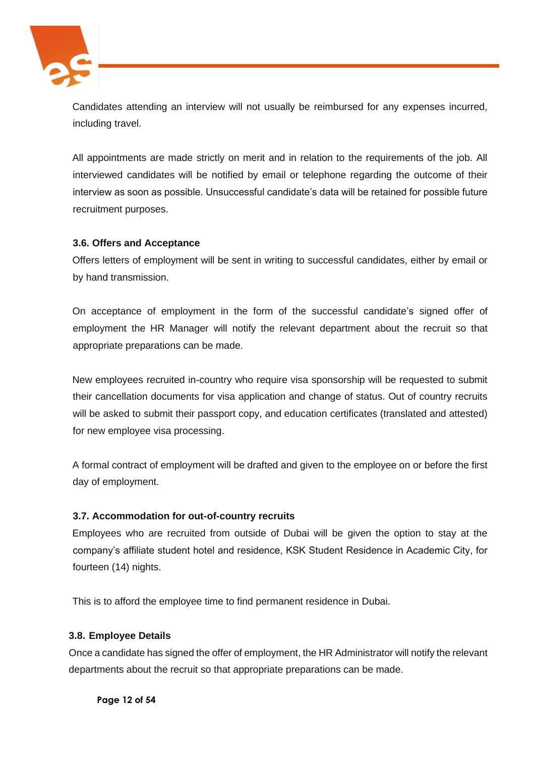

Candidates attending an interview will not usually be reimbursed for any expenses incurred, including travel.

All appointments are made strictly on merit and in relation to the requirements of the job. All interviewed candidates will be notified by email or telephone regarding the outcome of their interview as soon as possible. Unsuccessful candidate's data will be retained for possible future recruitment purposes.

## **3.6. Offers and Acceptance**

Offers letters of employment will be sent in writing to successful candidates, either by email or by hand transmission.

On acceptance of employment in the form of the successful candidate's signed offer of employment the HR Manager will notify the relevant department about the recruit so that appropriate preparations can be made.

New employees recruited in-country who require visa sponsorship will be requested to submit their cancellation documents for visa application and change of status. Out of country recruits will be asked to submit their passport copy, and education certificates (translated and attested) for new employee visa processing.

A formal contract of employment will be drafted and given to the employee on or before the first day of employment.

## **3.7. Accommodation for out-of-country recruits**

Employees who are recruited from outside of Dubai will be given the option to stay at the company's affiliate student hotel and residence, KSK Student Residence in Academic City, for fourteen (14) nights.

This is to afford the employee time to find permanent residence in Dubai.

## **3.8. Employee Details**

Once a candidate has signed the offer of employment, the HR Administrator will notify the relevant departments about the recruit so that appropriate preparations can be made.

**Page 12 of 54**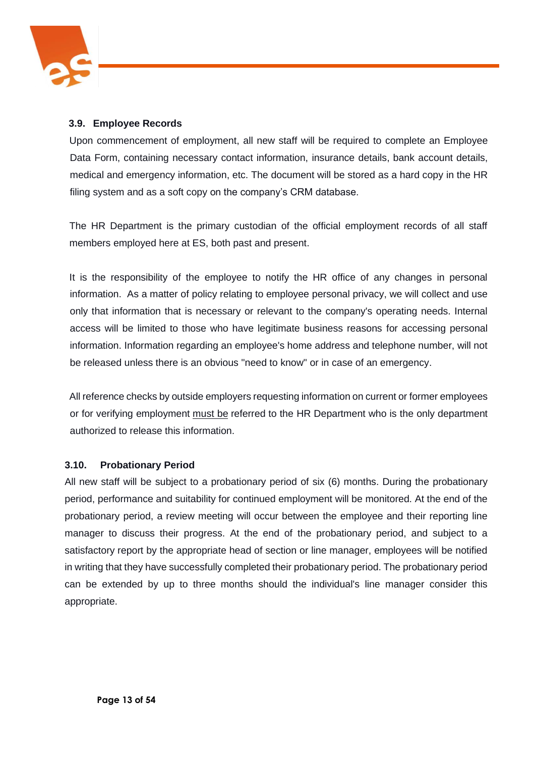

## **3.9. Employee Records**

Upon commencement of employment, all new staff will be required to complete an Employee Data Form, containing necessary contact information, insurance details, bank account details, medical and emergency information, etc. The document will be stored as a hard copy in the HR filing system and as a soft copy on the company's CRM database.

The HR Department is the primary custodian of the official employment records of all staff members employed here at ES, both past and present.

It is the responsibility of the employee to notify the HR office of any changes in personal information. As a matter of policy relating to employee personal privacy, we will collect and use only that information that is necessary or relevant to the company's operating needs. Internal access will be limited to those who have legitimate business reasons for accessing personal information. Information regarding an employee's home address and telephone number, will not be released unless there is an obvious "need to know" or in case of an emergency.

All reference checks by outside employers requesting information on current or former employees or for verifying employment must be referred to the HR Department who is the only department authorized to release this information.

#### **3.10. Probationary Period**

All new staff will be subject to a probationary period of six (6) months. During the probationary period, performance and suitability for continued employment will be monitored. At the end of the probationary period, a review meeting will occur between the employee and their reporting line manager to discuss their progress. At the end of the probationary period, and subject to a satisfactory report by the appropriate head of section or line manager, employees will be notified in writing that they have successfully completed their probationary period. The probationary period can be extended by up to three months should the individual's line manager consider this appropriate.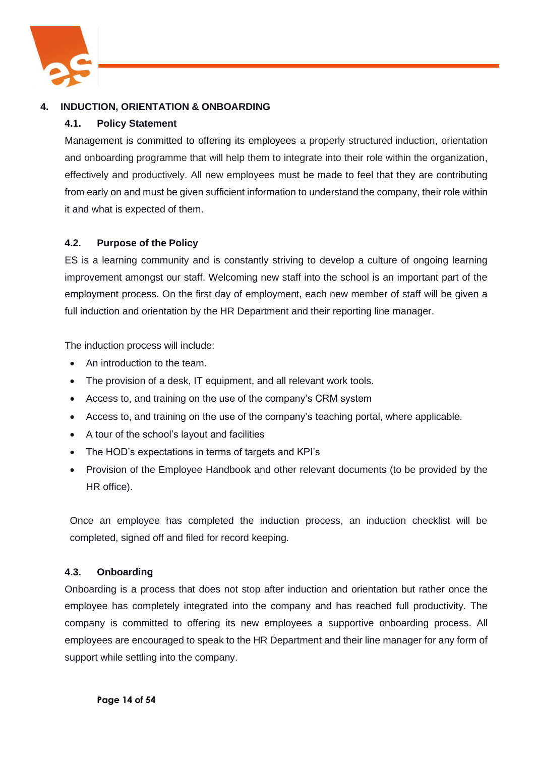

## **4. INDUCTION, ORIENTATION & ONBOARDING**

## **4.1. Policy Statement**

Management is committed to offering its employees a properly structured induction, orientation and onboarding programme that will help them to integrate into their role within the organization, effectively and productively. All new employees must be made to feel that they are contributing from early on and must be given sufficient information to understand the company, their role within it and what is expected of them.

## **4.2. Purpose of the Policy**

ES is a learning community and is constantly striving to develop a culture of ongoing learning improvement amongst our staff. Welcoming new staff into the school is an important part of the employment process. On the first day of employment, each new member of staff will be given a full induction and orientation by the HR Department and their reporting line manager.

The induction process will include:

- An introduction to the team.
- The provision of a desk, IT equipment, and all relevant work tools.
- Access to, and training on the use of the company's CRM system
- Access to, and training on the use of the company's teaching portal, where applicable.
- A tour of the school's layout and facilities
- The HOD's expectations in terms of targets and KPI's
- Provision of the Employee Handbook and other relevant documents (to be provided by the HR office).

Once an employee has completed the induction process, an induction checklist will be completed, signed off and filed for record keeping.

## **4.3. Onboarding**

Onboarding is a process that does not stop after induction and orientation but rather once the employee has completely integrated into the company and has reached full productivity. The company is committed to offering its new employees a supportive onboarding process. All employees are encouraged to speak to the HR Department and their line manager for any form of support while settling into the company.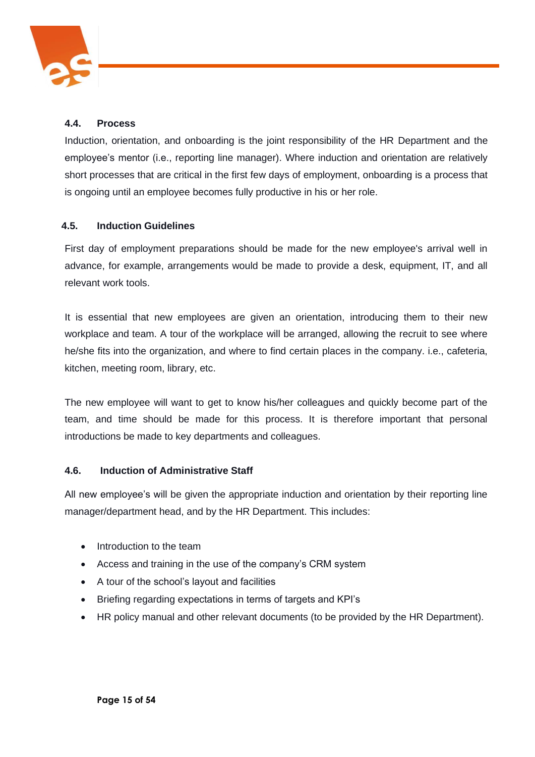

## **4.4. Process**

Induction, orientation, and onboarding is the joint responsibility of the HR Department and the employee's mentor (i.e., reporting line manager). Where induction and orientation are relatively short processes that are critical in the first few days of employment, onboarding is a process that is ongoing until an employee becomes fully productive in his or her role.

## **4.5. Induction Guidelines**

First day of employment preparations should be made for the new employee's arrival well in advance, for example, arrangements would be made to provide a desk, equipment, IT, and all relevant work tools.

It is essential that new employees are given an orientation, introducing them to their new workplace and team. A tour of the workplace will be arranged, allowing the recruit to see where he/she fits into the organization, and where to find certain places in the company. i.e., cafeteria, kitchen, meeting room, library, etc.

The new employee will want to get to know his/her colleagues and quickly become part of the team, and time should be made for this process. It is therefore important that personal introductions be made to key departments and colleagues.

#### **4.6. Induction of Administrative Staff**

All new employee's will be given the appropriate induction and orientation by their reporting line manager/department head, and by the HR Department. This includes:

- Introduction to the team
- Access and training in the use of the company's CRM system
- A tour of the school's layout and facilities
- Briefing regarding expectations in terms of targets and KPI's
- HR policy manual and other relevant documents (to be provided by the HR Department).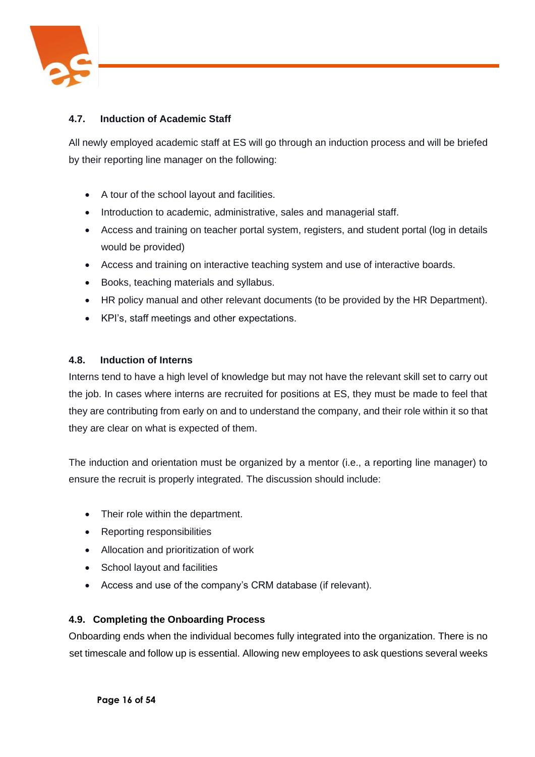

## **4.7. Induction of Academic Staff**

All newly employed academic staff at ES will go through an induction process and will be briefed by their reporting line manager on the following:

- A tour of the school layout and facilities.
- Introduction to academic, administrative, sales and managerial staff.
- Access and training on teacher portal system, registers, and student portal (log in details would be provided)
- Access and training on interactive teaching system and use of interactive boards.
- Books, teaching materials and syllabus.
- HR policy manual and other relevant documents (to be provided by the HR Department).
- KPI's, staff meetings and other expectations.

## **4.8. Induction of Interns**

Interns tend to have a high level of knowledge but may not have the relevant skill set to carry out the job. In cases where interns are recruited for positions at ES, they must be made to feel that they are contributing from early on and to understand the company, and their role within it so that they are clear on what is expected of them.

The induction and orientation must be organized by a mentor (i.e., a reporting line manager) to ensure the recruit is properly integrated. The discussion should include:

- Their role within the department.
- Reporting responsibilities
- Allocation and prioritization of work
- School layout and facilities
- Access and use of the company's CRM database (if relevant).

## **4.9. Completing the Onboarding Process**

Onboarding ends when the individual becomes fully integrated into the organization. There is no set timescale and follow up is essential. Allowing new employees to ask questions several weeks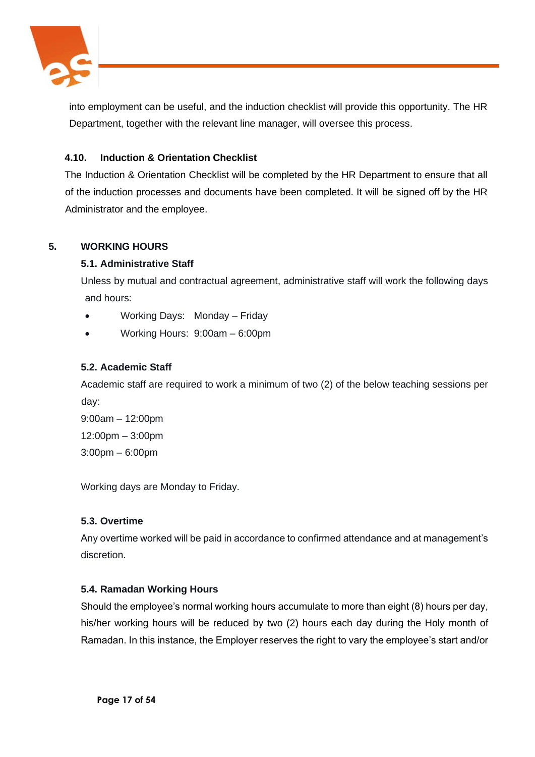

into employment can be useful, and the induction checklist will provide this opportunity. The HR Department, together with the relevant line manager, will oversee this process.

## **4.10. Induction & Orientation Checklist**

The Induction & Orientation Checklist will be completed by the HR Department to ensure that all of the induction processes and documents have been completed. It will be signed off by the HR Administrator and the employee.

## **5. WORKING HOURS**

## **5.1. Administrative Staff**

Unless by mutual and contractual agreement, administrative staff will work the following days and hours:

- Working Days: Monday Friday
- Working Hours: 9:00am 6:00pm

## **5.2. Academic Staff**

Academic staff are required to work a minimum of two (2) of the below teaching sessions per day:

9:00am – 12:00pm 12:00pm – 3:00pm 3:00pm – 6:00pm

Working days are Monday to Friday.

## **5.3. Overtime**

Any overtime worked will be paid in accordance to confirmed attendance and at management's discretion.

## **5.4. Ramadan Working Hours**

Should the employee's normal working hours accumulate to more than eight (8) hours per day, his/her working hours will be reduced by two (2) hours each day during the Holy month of Ramadan. In this instance, the Employer reserves the right to vary the employee's start and/or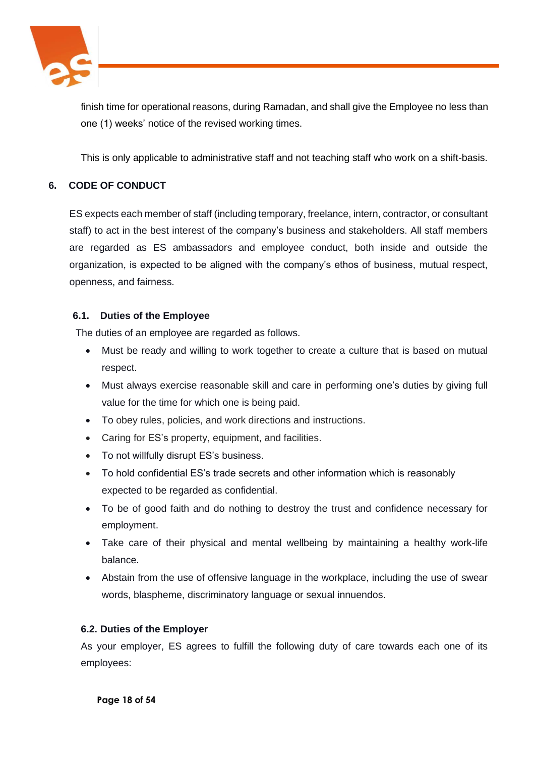

finish time for operational reasons, during Ramadan, and shall give the Employee no less than one (1) weeks' notice of the revised working times.

This is only applicable to administrative staff and not teaching staff who work on a shift-basis.

## **6. CODE OF CONDUCT**

ES expects each member of staff (including temporary, freelance, intern, contractor, or consultant staff) to act in the best interest of the company's business and stakeholders. All staff members are regarded as ES ambassadors and employee conduct, both inside and outside the organization, is expected to be aligned with the company's ethos of business, mutual respect, openness, and fairness.

## **6.1. Duties of the Employee**

The duties of an employee are regarded as follows.

- Must be ready and willing to work together to create a culture that is based on mutual respect.
- Must always exercise reasonable skill and care in performing one's duties by giving full value for the time for which one is being paid.
- To obey rules, policies, and work directions and instructions.
- Caring for ES's property, equipment, and facilities.
- To not willfully disrupt ES's business.
- To hold confidential ES's trade secrets and other information which is reasonably expected to be regarded as confidential.
- To be of good faith and do nothing to destroy the trust and confidence necessary for employment.
- Take care of their physical and mental wellbeing by maintaining a healthy work-life balance.
- Abstain from the use of offensive language in the workplace, including the use of swear words, blaspheme, discriminatory language or sexual innuendos.

## **6.2. Duties of the Employer**

As your employer, ES agrees to fulfill the following duty of care towards each one of its employees: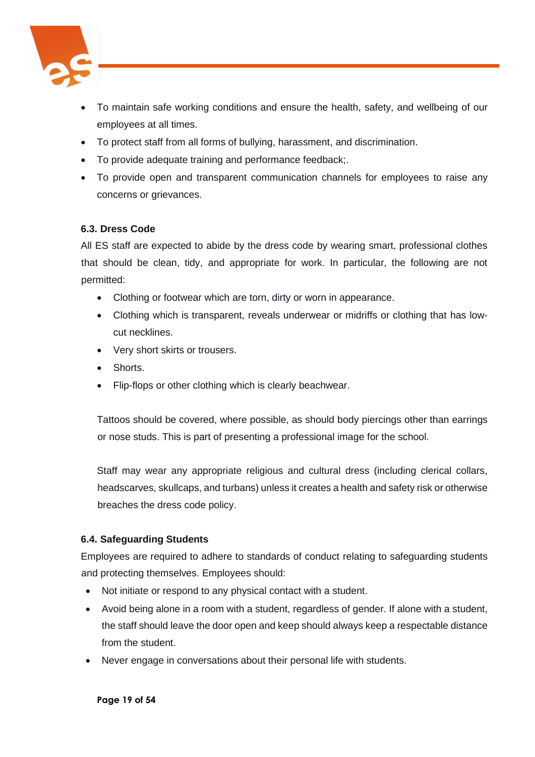

- To maintain safe working conditions and ensure the health, safety, and wellbeing of our employees at all times.
- To protect staff from all forms of bullying, harassment, and discrimination.
- To provide adequate training and performance feedback;.
- To provide open and transparent communication channels for employees to raise any concerns or grievances.

## **6.3. Dress Code**

All ES staff are expected to abide by the dress code by wearing smart, professional clothes that should be clean, tidy, and appropriate for work. In particular, the following are not permitted:

- Clothing or footwear which are torn, dirty or worn in appearance.
- Clothing which is transparent, reveals underwear or midriffs or clothing that has lowcut necklines.
- Very short skirts or trousers.
- Shorts.
- Flip-flops or other clothing which is clearly beachwear.

Tattoos should be covered, where possible, as should body piercings other than earrings or nose studs. This is part of presenting a professional image for the school.

Staff may wear any appropriate religious and cultural dress (including clerical collars, headscarves, skullcaps, and turbans) unless it creates a health and safety risk or otherwise breaches the dress code policy.

## **6.4. Safeguarding Students**

Employees are required to adhere to standards of conduct relating to safeguarding students and protecting themselves. Employees should:

- Not initiate or respond to any physical contact with a student.
- Avoid being alone in a room with a student, regardless of gender. If alone with a student, the staff should leave the door open and keep should always keep a respectable distance from the student.
- Never engage in conversations about their personal life with students.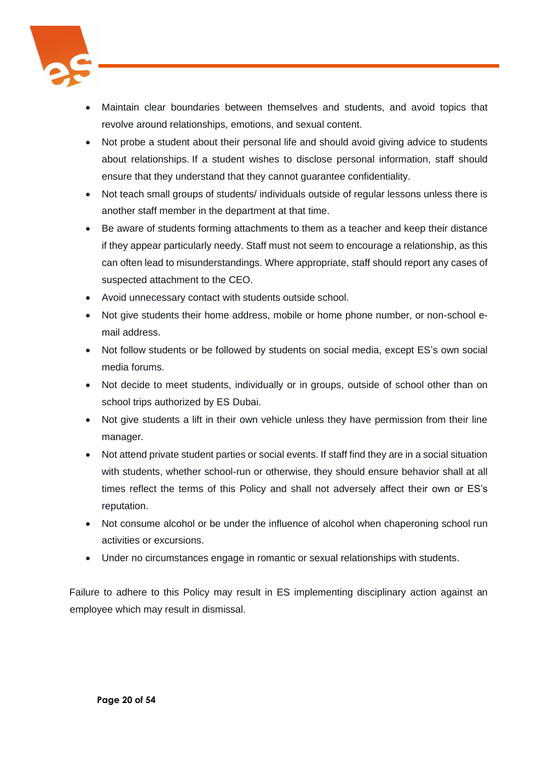

- Maintain clear boundaries between themselves and students, and avoid topics that revolve around relationships, emotions, and sexual content.
- Not probe a student about their personal life and should avoid giving advice to students about relationships. If a student wishes to disclose personal information, staff should ensure that they understand that they cannot guarantee confidentiality.
- Not teach small groups of students/ individuals outside of regular lessons unless there is another staff member in the department at that time.
- Be aware of students forming attachments to them as a teacher and keep their distance if they appear particularly needy. Staff must not seem to encourage a relationship, as this can often lead to misunderstandings. Where appropriate, staff should report any cases of suspected attachment to the CEO.
- Avoid unnecessary contact with students outside school.
- Not give students their home address, mobile or home phone number, or non-school email address.
- Not follow students or be followed by students on social media, except ES's own social media forums.
- Not decide to meet students, individually or in groups, outside of school other than on school trips authorized by ES Dubai.
- Not give students a lift in their own vehicle unless they have permission from their line manager.
- Not attend private student parties or social events. If staff find they are in a social situation with students, whether school-run or otherwise, they should ensure behavior shall at all times reflect the terms of this Policy and shall not adversely affect their own or ES's reputation.
- Not consume alcohol or be under the influence of alcohol when chaperoning school run activities or excursions.
- Under no circumstances engage in romantic or sexual relationships with students.

Failure to adhere to this Policy may result in ES implementing disciplinary action against an employee which may result in dismissal.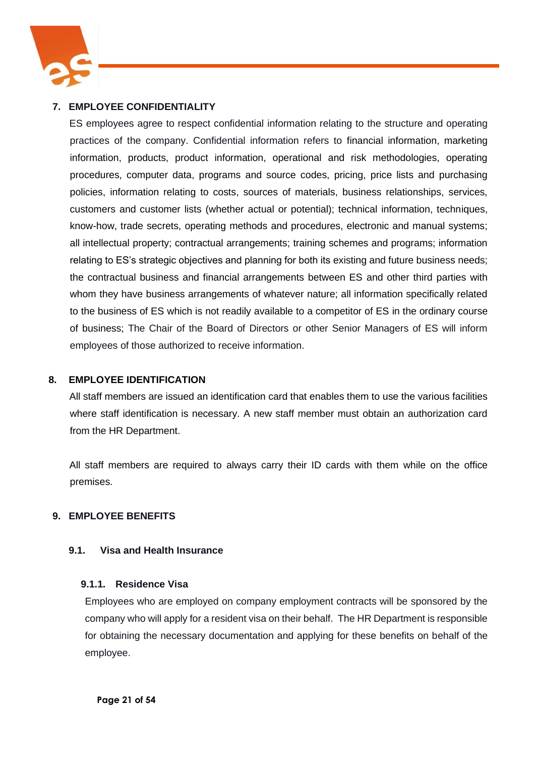

## **7. EMPLOYEE CONFIDENTIALITY**

ES employees agree to respect confidential information relating to the structure and operating practices of the company. Confidential information refers to financial information, marketing information, products, product information, operational and risk methodologies, operating procedures, computer data, programs and source codes, pricing, price lists and purchasing policies, information relating to costs, sources of materials, business relationships, services, customers and customer lists (whether actual or potential); technical information, techniques, know-how, trade secrets, operating methods and procedures, electronic and manual systems; all intellectual property; contractual arrangements; training schemes and programs; information relating to ES's strategic objectives and planning for both its existing and future business needs; the contractual business and financial arrangements between ES and other third parties with whom they have business arrangements of whatever nature; all information specifically related to the business of ES which is not readily available to a competitor of ES in the ordinary course of business; The Chair of the Board of Directors or other Senior Managers of ES will inform employees of those authorized to receive information.

#### **8. EMPLOYEE IDENTIFICATION**

All staff members are issued an identification card that enables them to use the various facilities where staff identification is necessary. A new staff member must obtain an authorization card from the HR Department.

All staff members are required to always carry their ID cards with them while on the office premises.

#### **9. EMPLOYEE BENEFITS**

#### **9.1. Visa and Health Insurance**

#### **9.1.1. Residence Visa**

Employees who are employed on company employment contracts will be sponsored by the company who will apply for a resident visa on their behalf. The HR Department is responsible for obtaining the necessary documentation and applying for these benefits on behalf of the employee.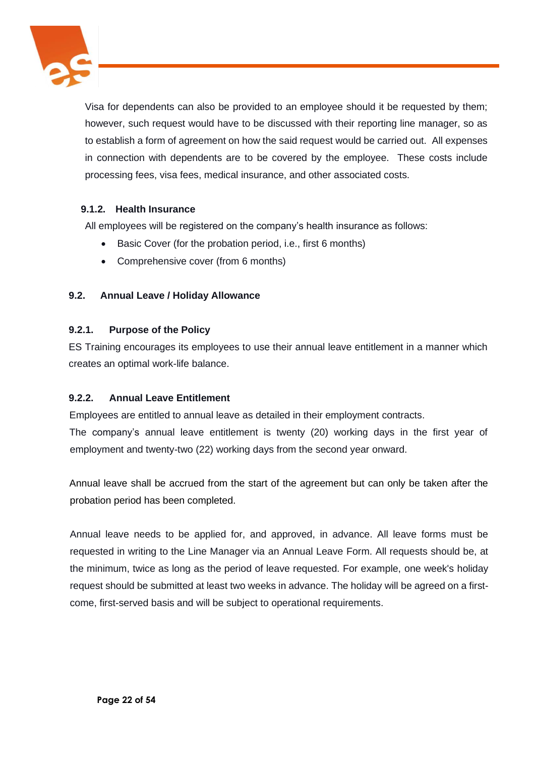

Visa for dependents can also be provided to an employee should it be requested by them; however, such request would have to be discussed with their reporting line manager, so as to establish a form of agreement on how the said request would be carried out. All expenses in connection with dependents are to be covered by the employee. These costs include processing fees, visa fees, medical insurance, and other associated costs.

## **9.1.2. Health Insurance**

All employees will be registered on the company's health insurance as follows:

- Basic Cover (for the probation period, i.e., first 6 months)
- Comprehensive cover (from 6 months)

## **9.2. Annual Leave / Holiday Allowance**

## **9.2.1. Purpose of the Policy**

ES Training encourages its employees to use their annual leave entitlement in a manner which creates an optimal work-life balance.

## **9.2.2. Annual Leave Entitlement**

Employees are entitled to annual leave as detailed in their employment contracts. The company's annual leave entitlement is twenty (20) working days in the first year of employment and twenty-two (22) working days from the second year onward.

Annual leave shall be accrued from the start of the agreement but can only be taken after the probation period has been completed.

Annual leave needs to be applied for, and approved, in advance. All leave forms must be requested in writing to the Line Manager via an Annual Leave Form. All requests should be, at the minimum, twice as long as the period of leave requested. For example, one week's holiday request should be submitted at least two weeks in advance. The holiday will be agreed on a firstcome, first-served basis and will be subject to operational requirements.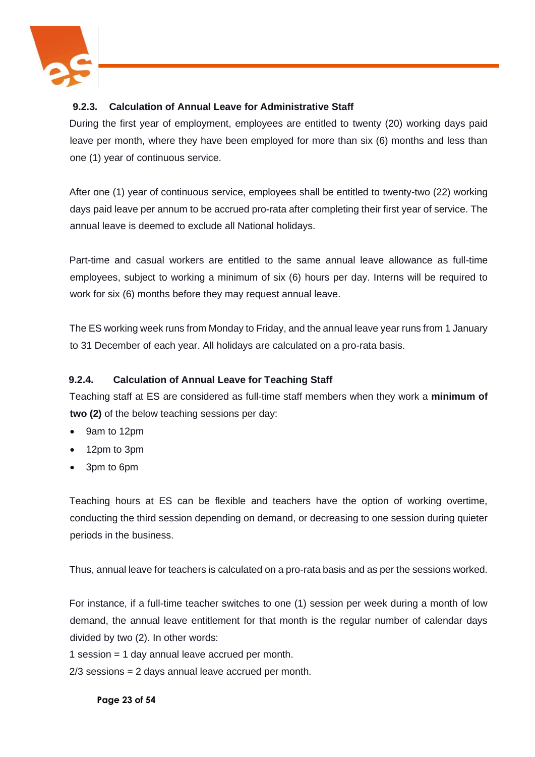

## **9.2.3. Calculation of Annual Leave for Administrative Staff**

During the first year of employment, employees are entitled to twenty (20) working days paid leave per month, where they have been employed for more than six (6) months and less than one (1) year of continuous service.

After one (1) year of continuous service, employees shall be entitled to twenty-two (22) working days paid leave per annum to be accrued pro-rata after completing their first year of service. The annual leave is deemed to exclude all National holidays.

Part-time and casual workers are entitled to the same annual leave allowance as full-time employees, subject to working a minimum of six (6) hours per day. Interns will be required to work for six (6) months before they may request annual leave.

The ES working week runs from Monday to Friday, and the annual leave year runs from 1 January to 31 December of each year. All holidays are calculated on a pro-rata basis.

## **9.2.4. Calculation of Annual Leave for Teaching Staff**

Teaching staff at ES are considered as full-time staff members when they work a **minimum of two (2)** of the below teaching sessions per day:

- 9am to 12pm
- 12pm to 3pm
- 3pm to 6pm

Teaching hours at ES can be flexible and teachers have the option of working overtime, conducting the third session depending on demand, or decreasing to one session during quieter periods in the business.

Thus, annual leave for teachers is calculated on a pro-rata basis and as per the sessions worked.

For instance, if a full-time teacher switches to one (1) session per week during a month of low demand, the annual leave entitlement for that month is the regular number of calendar days divided by two (2). In other words:

1 session = 1 day annual leave accrued per month.

2/3 sessions = 2 days annual leave accrued per month.

**Page 23 of 54**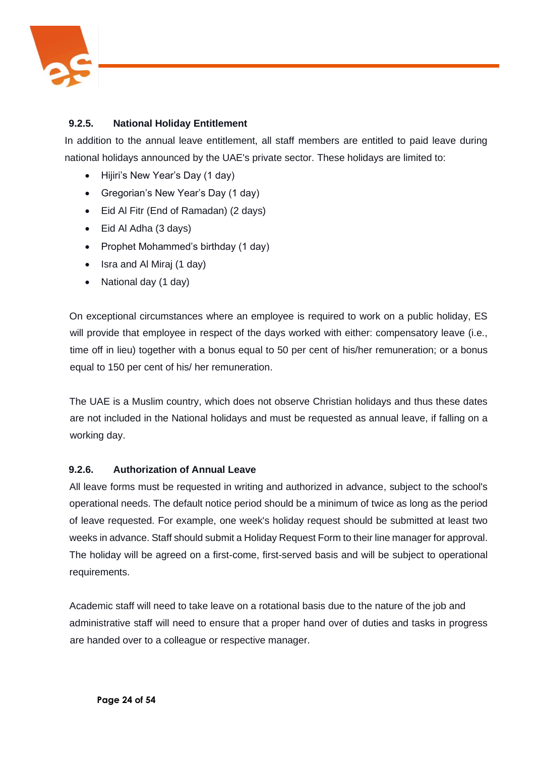

## **9.2.5. National Holiday Entitlement**

In addition to the annual leave entitlement, all staff members are entitled to paid leave during national holidays announced by the UAE's private sector. These holidays are limited to:

- Hijiri's New Year's Day (1 day)
- Gregorian's New Year's Day (1 day)
- Eid Al Fitr (End of Ramadan) (2 days)
- Eid Al Adha (3 days)
- Prophet Mohammed's birthday (1 day)
- Isra and Al Miraj (1 day)
- National day (1 day)

On exceptional circumstances where an employee is required to work on a public holiday, ES will provide that employee in respect of the days worked with either: compensatory leave (i.e., time off in lieu) together with a bonus equal to 50 per cent of his/her remuneration; or a bonus equal to 150 per cent of his/ her remuneration.

The UAE is a Muslim country, which does not observe Christian holidays and thus these dates are not included in the National holidays and must be requested as annual leave, if falling on a working day.

#### **9.2.6. Authorization of Annual Leave**

All leave forms must be requested in writing and authorized in advance, subject to the school's operational needs. The default notice period should be a minimum of twice as long as the period of leave requested. For example, one week's holiday request should be submitted at least two weeks in advance. Staff should submit a Holiday Request Form to their line manager for approval. The holiday will be agreed on a first-come, first-served basis and will be subject to operational requirements.

Academic staff will need to take leave on a rotational basis due to the nature of the job and administrative staff will need to ensure that a proper hand over of duties and tasks in progress are handed over to a colleague or respective manager.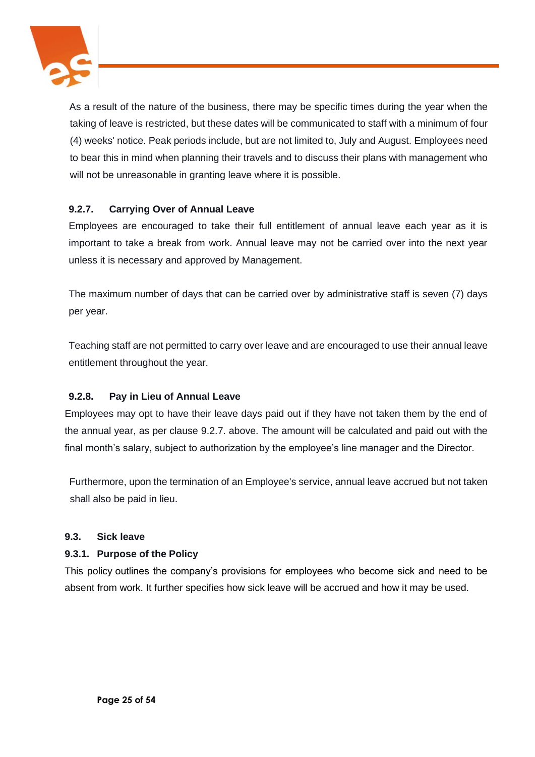

As a result of the nature of the business, there may be specific times during the year when the taking of leave is restricted, but these dates will be communicated to staff with a minimum of four (4) weeks' notice. Peak periods include, but are not limited to, July and August. Employees need to bear this in mind when planning their travels and to discuss their plans with management who will not be unreasonable in granting leave where it is possible.

## **9.2.7. Carrying Over of Annual Leave**

Employees are encouraged to take their full entitlement of annual leave each year as it is important to take a break from work. Annual leave may not be carried over into the next year unless it is necessary and approved by Management.

The maximum number of days that can be carried over by administrative staff is seven (7) days per year.

Teaching staff are not permitted to carry over leave and are encouraged to use their annual leave entitlement throughout the year.

## **9.2.8. Pay in Lieu of Annual Leave**

Employees may opt to have their leave days paid out if they have not taken them by the end of the annual year, as per clause 9.2.7. above. The amount will be calculated and paid out with the final month's salary, subject to authorization by the employee's line manager and the Director.

Furthermore, upon the termination of an Employee's service, annual leave accrued but not taken shall also be paid in lieu.

#### **9.3. Sick leave**

## **9.3.1. Purpose of the Policy**

This policy outlines the company's provisions for employees who become sick and need to be absent from work. It further specifies how sick leave will be accrued and how it may be used.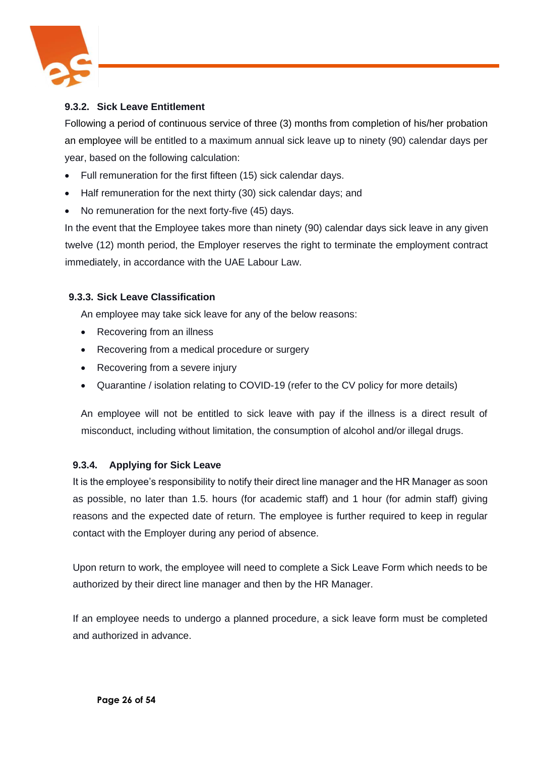

## **9.3.2. Sick Leave Entitlement**

Following a period of continuous service of three (3) months from completion of his/her probation an employee will be entitled to a maximum annual sick leave up to ninety (90) calendar days per year, based on the following calculation:

- Full remuneration for the first fifteen (15) sick calendar days.
- Half remuneration for the next thirty (30) sick calendar days; and
- No remuneration for the next forty-five (45) days.

In the event that the Employee takes more than ninety (90) calendar days sick leave in any given twelve (12) month period, the Employer reserves the right to terminate the employment contract immediately, in accordance with the UAE Labour Law.

## **9.3.3. Sick Leave Classification**

An employee may take sick leave for any of the below reasons:

- Recovering from an illness
- Recovering from a medical procedure or surgery
- Recovering from a severe injury
- Quarantine / isolation relating to COVID-19 (refer to the CV policy for more details)

An employee will not be entitled to sick leave with pay if the illness is a direct result of misconduct, including without limitation, the consumption of alcohol and/or illegal drugs.

## **9.3.4. Applying for Sick Leave**

It is the employee's responsibility to notify their direct line manager and the HR Manager as soon as possible, no later than 1.5. hours (for academic staff) and 1 hour (for admin staff) giving reasons and the expected date of return. The employee is further required to keep in regular contact with the Employer during any period of absence.

Upon return to work, the employee will need to complete a Sick Leave Form which needs to be authorized by their direct line manager and then by the HR Manager.

If an employee needs to undergo a planned procedure, a sick leave form must be completed and authorized in advance.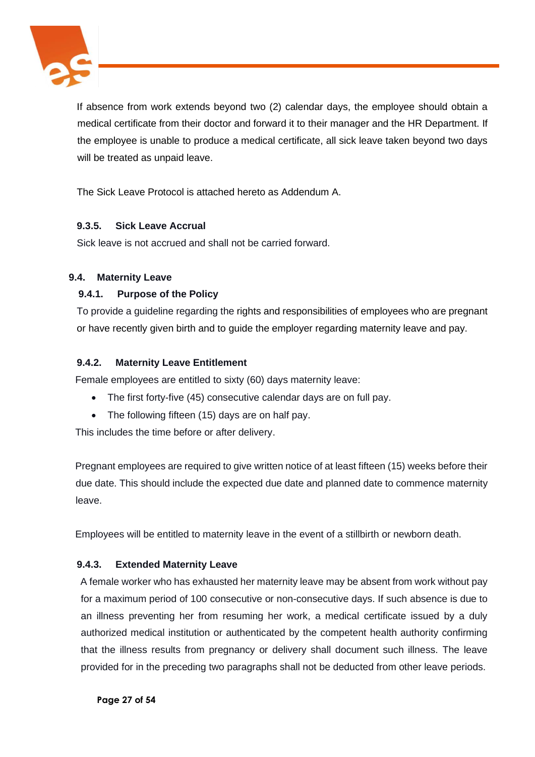

If absence from work extends beyond two (2) calendar days, the employee should obtain a medical certificate from their doctor and forward it to their manager and the HR Department. If the employee is unable to produce a medical certificate, all sick leave taken beyond two days will be treated as unpaid leave.

The Sick Leave Protocol is attached hereto as Addendum A.

## **9.3.5. Sick Leave Accrual**

Sick leave is not accrued and shall not be carried forward.

## **9.4. Maternity Leave**

## **9.4.1. Purpose of the Policy**

To provide a guideline regarding the rights and responsibilities of employees who are pregnant or have recently given birth and to guide the employer regarding maternity leave and pay.

## **9.4.2. Maternity Leave Entitlement**

Female employees are entitled to sixty (60) days maternity leave:

- The first forty-five (45) consecutive calendar days are on full pay.
- The following fifteen (15) days are on half pay.

This includes the time before or after delivery.

Pregnant employees are required to give written notice of at least fifteen (15) weeks before their due date. This should include the expected due date and planned date to commence maternity leave.

Employees will be entitled to maternity leave in the event of a stillbirth or newborn death.

## **9.4.3. Extended Maternity Leave**

A female worker who has exhausted her maternity leave may be absent from work without pay for a maximum period of 100 consecutive or non-consecutive days. If such absence is due to an illness preventing her from resuming her work, a medical certificate issued by a duly authorized medical institution or authenticated by the competent health authority confirming that the illness results from pregnancy or delivery shall document such illness. The leave provided for in the preceding two paragraphs shall not be deducted from other leave periods.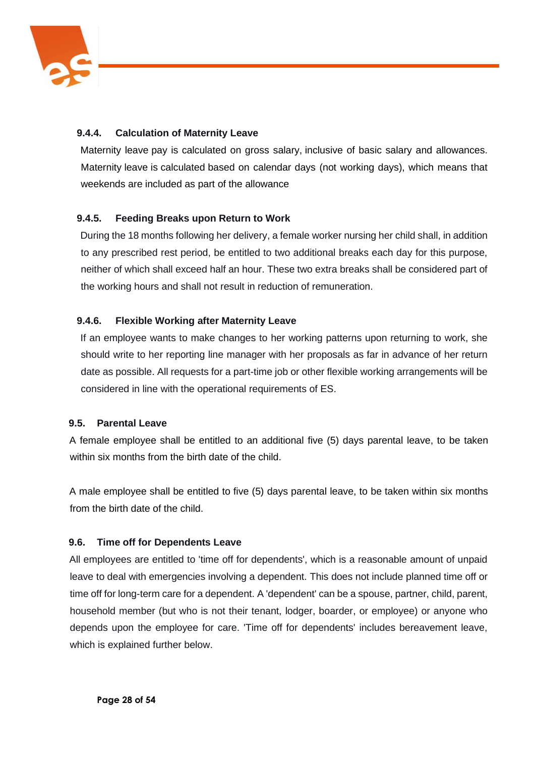

## **9.4.4. Calculation of Maternity Leave**

Maternity leave pay is calculated on gross salary, inclusive of basic salary and allowances. Maternity leave is calculated based on calendar days (not working days), which means that weekends are included as part of the allowance

## **9.4.5. Feeding Breaks upon Return to Work**

During the 18 months following her delivery, a female worker nursing her child shall, in addition to any prescribed rest period, be entitled to two additional breaks each day for this purpose, neither of which shall exceed half an hour. These two extra breaks shall be considered part of the working hours and shall not result in reduction of remuneration.

## **9.4.6. Flexible Working after Maternity Leave**

If an employee wants to make changes to her working patterns upon returning to work, she should write to her reporting line manager with her proposals as far in advance of her return date as possible. All requests for a part-time job or other flexible working arrangements will be considered in line with the operational requirements of ES.

## **9.5. Parental Leave**

A female employee shall be entitled to an additional five (5) days parental leave, to be taken within six months from the birth date of the child.

A male employee shall be entitled to five (5) days parental leave, to be taken within six months from the birth date of the child.

## **9.6. Time off for Dependents Leave**

All employees are entitled to 'time off for dependents', which is a reasonable amount of unpaid leave to deal with emergencies involving a dependent. This does not include planned time off or time off for long-term care for a dependent. A 'dependent' can be a spouse, partner, child, parent, household member (but who is not their tenant, lodger, boarder, or employee) or anyone who depends upon the employee for care. 'Time off for dependents' includes bereavement leave, which is explained further below.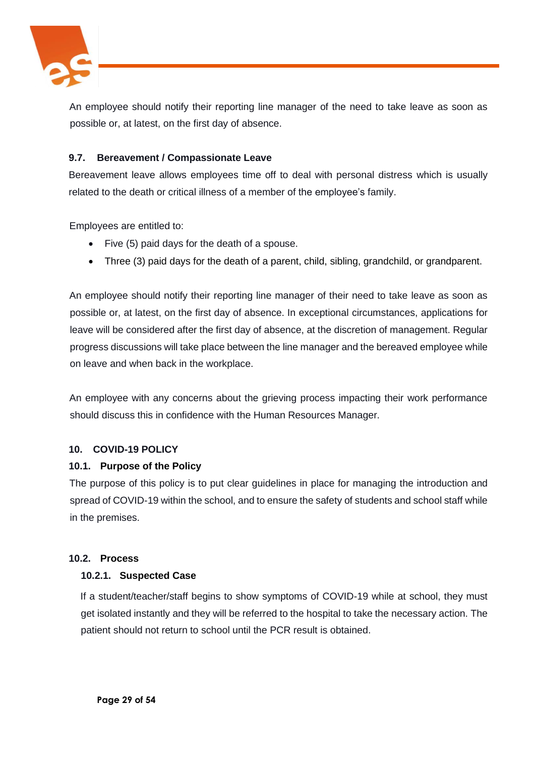

An employee should notify their reporting line manager of the need to take leave as soon as possible or, at latest, on the first day of absence.

## **9.7. Bereavement / Compassionate Leave**

Bereavement leave allows employees time off to deal with personal distress which is usually related to the death or critical illness of a member of the employee's family.

Employees are entitled to:

- Five (5) paid days for the death of a spouse.
- Three (3) paid days for the death of a parent, child, sibling, grandchild, or grandparent.

An employee should notify their reporting line manager of their need to take leave as soon as possible or, at latest, on the first day of absence. In exceptional circumstances, applications for leave will be considered after the first day of absence, at the discretion of management. Regular progress discussions will take place between the line manager and the bereaved employee while on leave and when back in the workplace.

An employee with any concerns about the grieving process impacting their work performance should discuss this in confidence with the Human Resources Manager.

#### **10. COVID-19 POLICY**

## **10.1. Purpose of the Policy**

The purpose of this policy is to put clear guidelines in place for managing the introduction and spread of COVID-19 within the school, and to ensure the safety of students and school staff while in the premises.

#### **10.2. Process**

#### **10.2.1. Suspected Case**

If a student/teacher/staff begins to show symptoms of COVID-19 while at school, they must get isolated instantly and they will be referred to the hospital to take the necessary action. The patient should not return to school until the PCR result is obtained.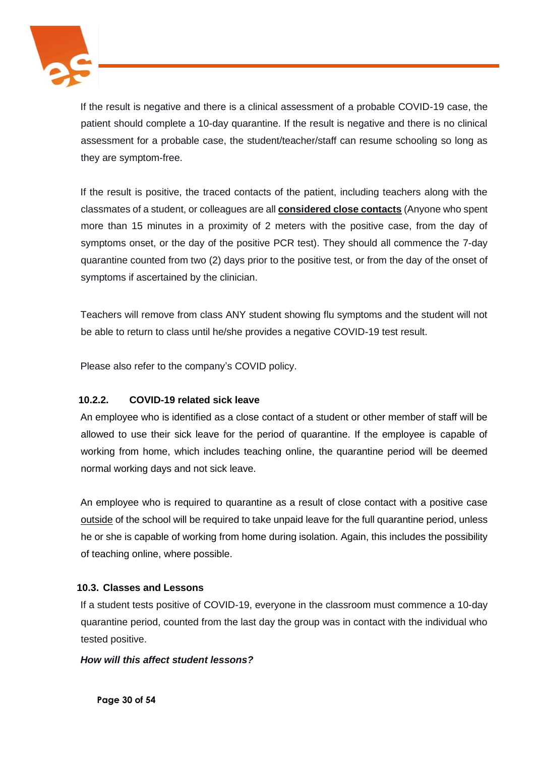

If the result is negative and there is a clinical assessment of a probable COVID-19 case, the patient should complete a 10-day quarantine. If the result is negative and there is no clinical assessment for a probable case, the student/teacher/staff can resume schooling so long as they are symptom-free.

If the result is positive, the traced contacts of the patient, including teachers along with the classmates of a student, or colleagues are all **considered close contacts** (Anyone who spent more than 15 minutes in a proximity of 2 meters with the positive case, from the day of symptoms onset, or the day of the positive PCR test). They should all commence the 7-day quarantine counted from two (2) days prior to the positive test, or from the day of the onset of symptoms if ascertained by the clinician.

Teachers will remove from class ANY student showing flu symptoms and the student will not be able to return to class until he/she provides a negative COVID-19 test result.

Please also refer to the company's COVID policy.

## **10.2.2. COVID-19 related sick leave**

An employee who is identified as a close contact of a student or other member of staff will be allowed to use their sick leave for the period of quarantine. If the employee is capable of working from home, which includes teaching online, the quarantine period will be deemed normal working days and not sick leave.

An employee who is required to quarantine as a result of close contact with a positive case outside of the school will be required to take unpaid leave for the full quarantine period, unless he or she is capable of working from home during isolation. Again, this includes the possibility of teaching online, where possible.

## **10.3. Classes and Lessons**

If a student tests positive of COVID-19, everyone in the classroom must commence a 10-day quarantine period, counted from the last day the group was in contact with the individual who tested positive.

#### *How will this affect student lessons?*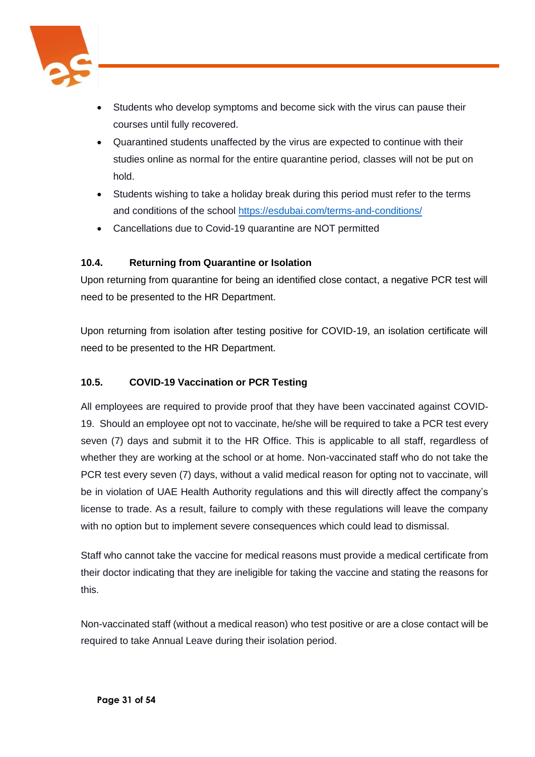

- Students who develop symptoms and become sick with the virus can pause their courses until fully recovered.
- Quarantined students unaffected by the virus are expected to continue with their studies online as normal for the entire quarantine period, classes will not be put on hold.
- Students wishing to take a holiday break during this period must refer to the terms and conditions of the school<https://esdubai.com/terms-and-conditions/>
- Cancellations due to Covid-19 quarantine are NOT permitted

## **10.4. Returning from Quarantine or Isolation**

Upon returning from quarantine for being an identified close contact, a negative PCR test will need to be presented to the HR Department.

Upon returning from isolation after testing positive for COVID-19, an isolation certificate will need to be presented to the HR Department.

## **10.5. COVID-19 Vaccination or PCR Testing**

All employees are required to provide proof that they have been vaccinated against COVID-19. Should an employee opt not to vaccinate, he/she will be required to take a PCR test every seven (7) days and submit it to the HR Office. This is applicable to all staff, regardless of whether they are working at the school or at home. Non-vaccinated staff who do not take the PCR test every seven (7) days, without a valid medical reason for opting not to vaccinate, will be in violation of UAE Health Authority regulations and this will directly affect the company's license to trade. As a result, failure to comply with these regulations will leave the company with no option but to implement severe consequences which could lead to dismissal.

Staff who cannot take the vaccine for medical reasons must provide a medical certificate from their doctor indicating that they are ineligible for taking the vaccine and stating the reasons for this.

Non-vaccinated staff (without a medical reason) who test positive or are a close contact will be required to take Annual Leave during their isolation period.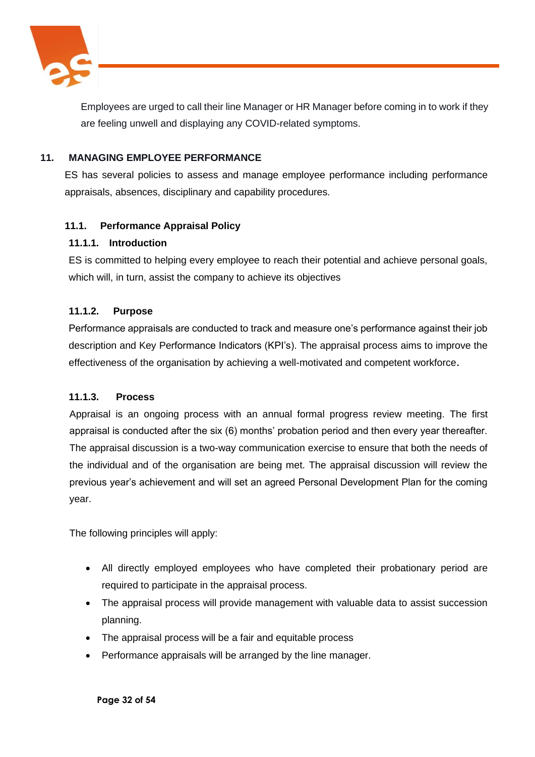

Employees are urged to call their line Manager or HR Manager before coming in to work if they are feeling unwell and displaying any COVID-related symptoms.

## **11. MANAGING EMPLOYEE PERFORMANCE**

ES has several policies to assess and manage employee performance including performance appraisals, absences, disciplinary and capability procedures.

## **11.1. Performance Appraisal Policy**

#### **11.1.1. Introduction**

ES is committed to helping every employee to reach their potential and achieve personal goals, which will, in turn, assist the company to achieve its objectives

## **11.1.2. Purpose**

Performance appraisals are conducted to track and measure one's performance against their job description and Key Performance Indicators (KPI's). The appraisal process aims to improve the effectiveness of the organisation by achieving a well-motivated and competent workforce.

#### **11.1.3. Process**

Appraisal is an ongoing process with an annual formal progress review meeting. The first appraisal is conducted after the six (6) months' probation period and then every year thereafter. The appraisal discussion is a two-way communication exercise to ensure that both the needs of the individual and of the organisation are being met. The appraisal discussion will review the previous year's achievement and will set an agreed Personal Development Plan for the coming year.

The following principles will apply:

- All directly employed employees who have completed their probationary period are required to participate in the appraisal process.
- The appraisal process will provide management with valuable data to assist succession planning.
- The appraisal process will be a fair and equitable process
- Performance appraisals will be arranged by the line manager.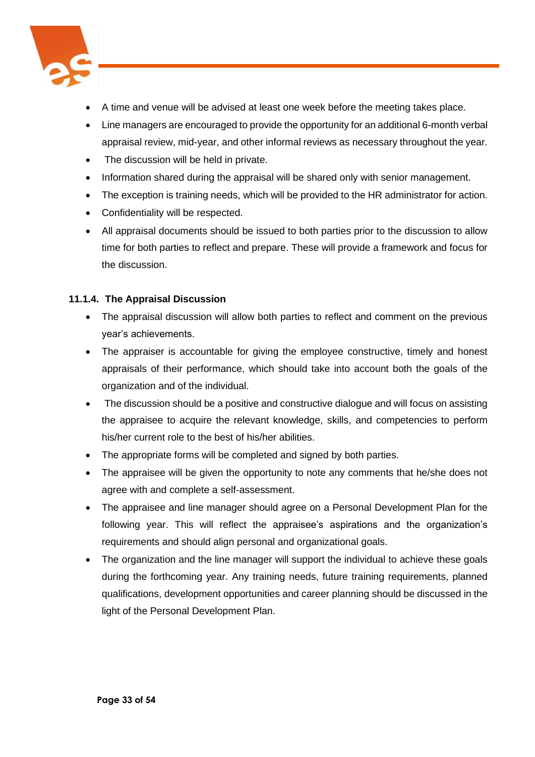

- A time and venue will be advised at least one week before the meeting takes place.
- Line managers are encouraged to provide the opportunity for an additional 6-month verbal appraisal review, mid-year, and other informal reviews as necessary throughout the year.
- The discussion will be held in private.
- Information shared during the appraisal will be shared only with senior management.
- The exception is training needs, which will be provided to the HR administrator for action.
- Confidentiality will be respected.
- All appraisal documents should be issued to both parties prior to the discussion to allow time for both parties to reflect and prepare. These will provide a framework and focus for the discussion.

## **11.1.4. The Appraisal Discussion**

- The appraisal discussion will allow both parties to reflect and comment on the previous year's achievements.
- The appraiser is accountable for giving the employee constructive, timely and honest appraisals of their performance, which should take into account both the goals of the organization and of the individual.
- The discussion should be a positive and constructive dialogue and will focus on assisting the appraisee to acquire the relevant knowledge, skills, and competencies to perform his/her current role to the best of his/her abilities.
- The appropriate forms will be completed and signed by both parties.
- The appraisee will be given the opportunity to note any comments that he/she does not agree with and complete a self-assessment.
- The appraisee and line manager should agree on a Personal Development Plan for the following year. This will reflect the appraisee's aspirations and the organization's requirements and should align personal and organizational goals.
- The organization and the line manager will support the individual to achieve these goals during the forthcoming year. Any training needs, future training requirements, planned qualifications, development opportunities and career planning should be discussed in the light of the Personal Development Plan.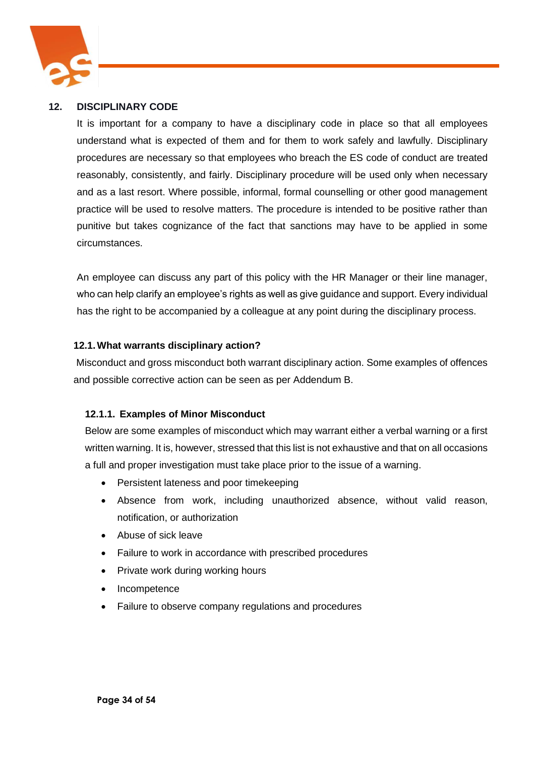

#### **12. DISCIPLINARY CODE**

It is important for a company to have a disciplinary code in place so that all employees understand what is expected of them and for them to work safely and lawfully. Disciplinary procedures are necessary so that employees who breach the ES code of conduct are treated reasonably, consistently, and fairly. Disciplinary procedure will be used only when necessary and as a last resort. Where possible, informal, formal counselling or other good management practice will be used to resolve matters. The procedure is intended to be positive rather than punitive but takes cognizance of the fact that sanctions may have to be applied in some circumstances.

An employee can discuss any part of this policy with the HR Manager or their line manager, who can help clarify an employee's rights as well as give guidance and support. Every individual has the right to be accompanied by a colleague at any point during the disciplinary process.

## **12.1.What warrants disciplinary action?**

Misconduct and gross misconduct both warrant disciplinary action. Some examples of offences and possible corrective action can be seen as per Addendum B.

## **12.1.1. Examples of Minor Misconduct**

Below are some examples of misconduct which may warrant either a verbal warning or a first written warning. It is, however, stressed that this list is not exhaustive and that on all occasions a full and proper investigation must take place prior to the issue of a warning.

- Persistent lateness and poor timekeeping
- Absence from work, including unauthorized absence, without valid reason, notification, or authorization
- Abuse of sick leave
- Failure to work in accordance with prescribed procedures
- Private work during working hours
- Incompetence
- Failure to observe company regulations and procedures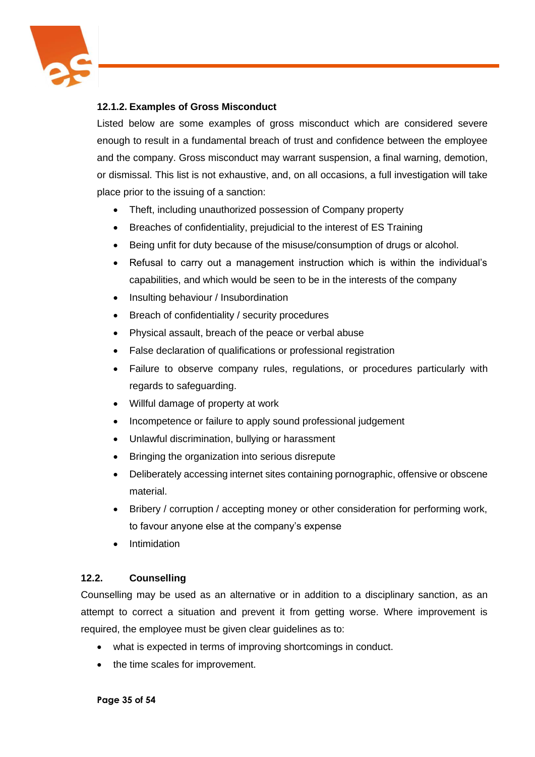

## **12.1.2. Examples of Gross Misconduct**

Listed below are some examples of gross misconduct which are considered severe enough to result in a fundamental breach of trust and confidence between the employee and the company. Gross misconduct may warrant suspension, a final warning, demotion, or dismissal. This list is not exhaustive, and, on all occasions, a full investigation will take place prior to the issuing of a sanction:

- Theft, including unauthorized possession of Company property
- Breaches of confidentiality, prejudicial to the interest of ES Training
- Being unfit for duty because of the misuse/consumption of drugs or alcohol.
- Refusal to carry out a management instruction which is within the individual's capabilities, and which would be seen to be in the interests of the company
- Insulting behaviour / Insubordination
- Breach of confidentiality / security procedures
- Physical assault, breach of the peace or verbal abuse
- False declaration of qualifications or professional registration
- Failure to observe company rules, regulations, or procedures particularly with regards to safeguarding.
- Willful damage of property at work
- Incompetence or failure to apply sound professional judgement
- Unlawful discrimination, bullying or harassment
- Bringing the organization into serious disrepute
- Deliberately accessing internet sites containing pornographic, offensive or obscene material.
- Bribery / corruption / accepting money or other consideration for performing work, to favour anyone else at the company's expense
- Intimidation

## **12.2. Counselling**

Counselling may be used as an alternative or in addition to a disciplinary sanction, as an attempt to correct a situation and prevent it from getting worse. Where improvement is required, the employee must be given clear guidelines as to:

- what is expected in terms of improving shortcomings in conduct.
- the time scales for improvement.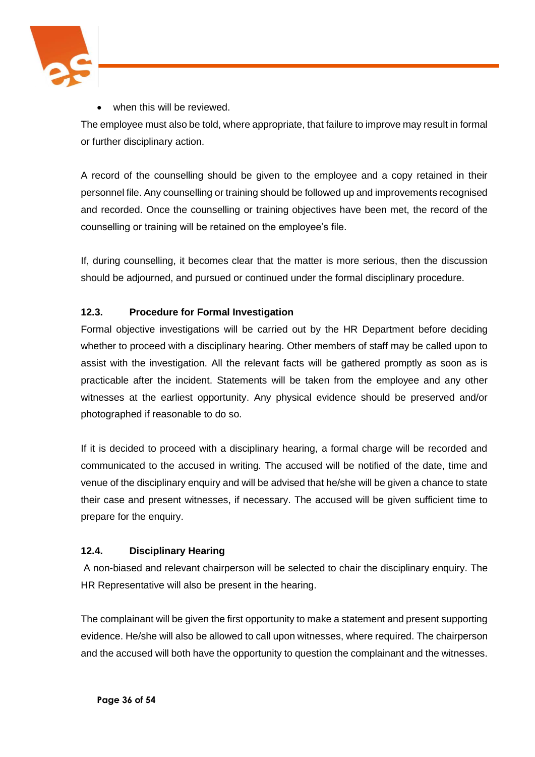

when this will be reviewed.

The employee must also be told, where appropriate, that failure to improve may result in formal or further disciplinary action.

A record of the counselling should be given to the employee and a copy retained in their personnel file. Any counselling or training should be followed up and improvements recognised and recorded. Once the counselling or training objectives have been met, the record of the counselling or training will be retained on the employee's file.

If, during counselling, it becomes clear that the matter is more serious, then the discussion should be adjourned, and pursued or continued under the formal disciplinary procedure.

## **12.3. Procedure for Formal Investigation**

Formal objective investigations will be carried out by the HR Department before deciding whether to proceed with a disciplinary hearing. Other members of staff may be called upon to assist with the investigation. All the relevant facts will be gathered promptly as soon as is practicable after the incident. Statements will be taken from the employee and any other witnesses at the earliest opportunity. Any physical evidence should be preserved and/or photographed if reasonable to do so.

If it is decided to proceed with a disciplinary hearing, a formal charge will be recorded and communicated to the accused in writing. The accused will be notified of the date, time and venue of the disciplinary enquiry and will be advised that he/she will be given a chance to state their case and present witnesses, if necessary. The accused will be given sufficient time to prepare for the enquiry.

## **12.4. Disciplinary Hearing**

A non-biased and relevant chairperson will be selected to chair the disciplinary enquiry. The HR Representative will also be present in the hearing.

The complainant will be given the first opportunity to make a statement and present supporting evidence. He/she will also be allowed to call upon witnesses, where required. The chairperson and the accused will both have the opportunity to question the complainant and the witnesses.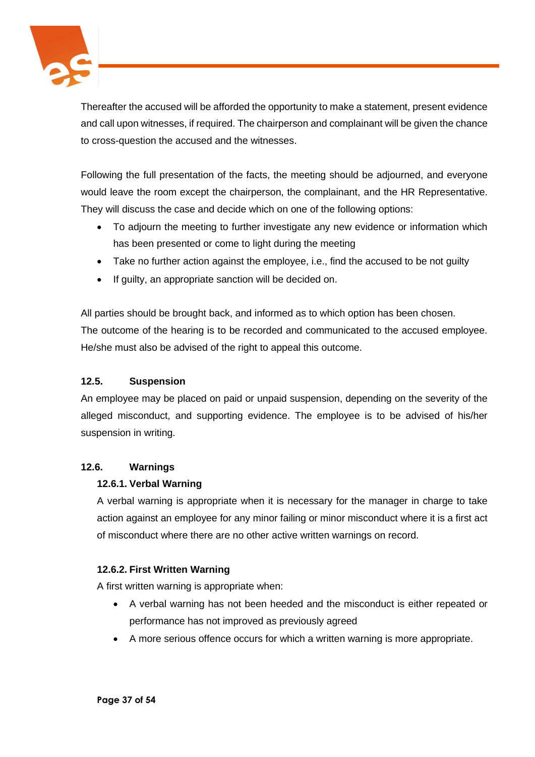

Thereafter the accused will be afforded the opportunity to make a statement, present evidence and call upon witnesses, if required. The chairperson and complainant will be given the chance to cross-question the accused and the witnesses.

Following the full presentation of the facts, the meeting should be adjourned, and everyone would leave the room except the chairperson, the complainant, and the HR Representative. They will discuss the case and decide which on one of the following options:

- To adjourn the meeting to further investigate any new evidence or information which has been presented or come to light during the meeting
- Take no further action against the employee, i.e., find the accused to be not guilty
- If guilty, an appropriate sanction will be decided on.

All parties should be brought back, and informed as to which option has been chosen. The outcome of the hearing is to be recorded and communicated to the accused employee. He/she must also be advised of the right to appeal this outcome.

## **12.5. Suspension**

An employee may be placed on paid or unpaid suspension, depending on the severity of the alleged misconduct, and supporting evidence. The employee is to be advised of his/her suspension in writing.

## **12.6. Warnings**

## **12.6.1. Verbal Warning**

A verbal warning is appropriate when it is necessary for the manager in charge to take action against an employee for any minor failing or minor misconduct where it is a first act of misconduct where there are no other active written warnings on record.

## **12.6.2. First Written Warning**

A first written warning is appropriate when:

- A verbal warning has not been heeded and the misconduct is either repeated or performance has not improved as previously agreed
- A more serious offence occurs for which a written warning is more appropriate.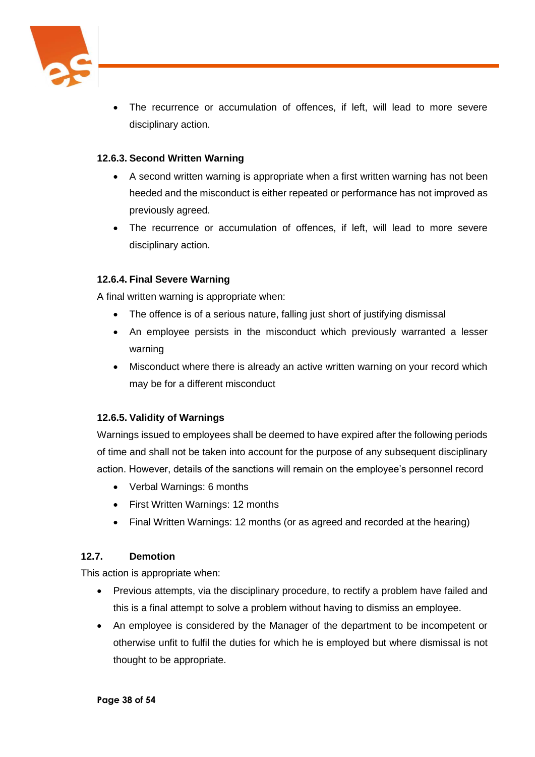

The recurrence or accumulation of offences, if left, will lead to more severe disciplinary action.

## **12.6.3. Second Written Warning**

- A second written warning is appropriate when a first written warning has not been heeded and the misconduct is either repeated or performance has not improved as previously agreed.
- The recurrence or accumulation of offences, if left, will lead to more severe disciplinary action.

## **12.6.4. Final Severe Warning**

A final written warning is appropriate when:

- The offence is of a serious nature, falling just short of justifying dismissal
- An employee persists in the misconduct which previously warranted a lesser warning
- Misconduct where there is already an active written warning on your record which may be for a different misconduct

## **12.6.5. Validity of Warnings**

Warnings issued to employees shall be deemed to have expired after the following periods of time and shall not be taken into account for the purpose of any subsequent disciplinary action. However, details of the sanctions will remain on the employee's personnel record

- Verbal Warnings: 6 months
- First Written Warnings: 12 months
- Final Written Warnings: 12 months (or as agreed and recorded at the hearing)

## **12.7. Demotion**

This action is appropriate when:

- Previous attempts, via the disciplinary procedure, to rectify a problem have failed and this is a final attempt to solve a problem without having to dismiss an employee.
- An employee is considered by the Manager of the department to be incompetent or otherwise unfit to fulfil the duties for which he is employed but where dismissal is not thought to be appropriate.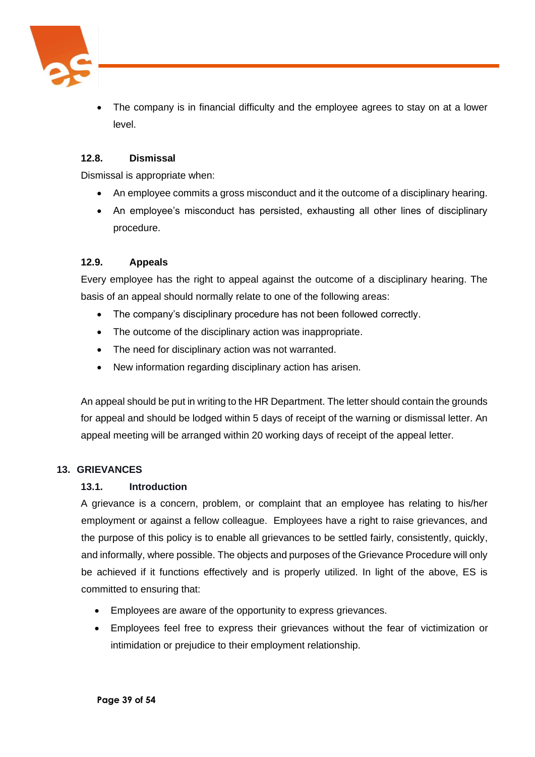

The company is in financial difficulty and the employee agrees to stay on at a lower level.

## **12.8. Dismissal**

Dismissal is appropriate when:

- An employee commits a gross misconduct and it the outcome of a disciplinary hearing.
- An employee's misconduct has persisted, exhausting all other lines of disciplinary procedure.

## **12.9. Appeals**

Every employee has the right to appeal against the outcome of a disciplinary hearing. The basis of an appeal should normally relate to one of the following areas:

- The company's disciplinary procedure has not been followed correctly.
- The outcome of the disciplinary action was inappropriate.
- The need for disciplinary action was not warranted.
- New information regarding disciplinary action has arisen.

An appeal should be put in writing to the HR Department. The letter should contain the grounds for appeal and should be lodged within 5 days of receipt of the warning or dismissal letter. An appeal meeting will be arranged within 20 working days of receipt of the appeal letter.

#### **13. GRIEVANCES**

#### **13.1. Introduction**

A grievance is a concern, problem, or complaint that an employee has relating to his/her employment or against a fellow colleague. Employees have a right to raise grievances, and the purpose of this policy is to enable all grievances to be settled fairly, consistently, quickly, and informally, where possible. The objects and purposes of the Grievance Procedure will only be achieved if it functions effectively and is properly utilized. In light of the above, ES is committed to ensuring that:

- Employees are aware of the opportunity to express grievances.
- Employees feel free to express their grievances without the fear of victimization or intimidation or prejudice to their employment relationship.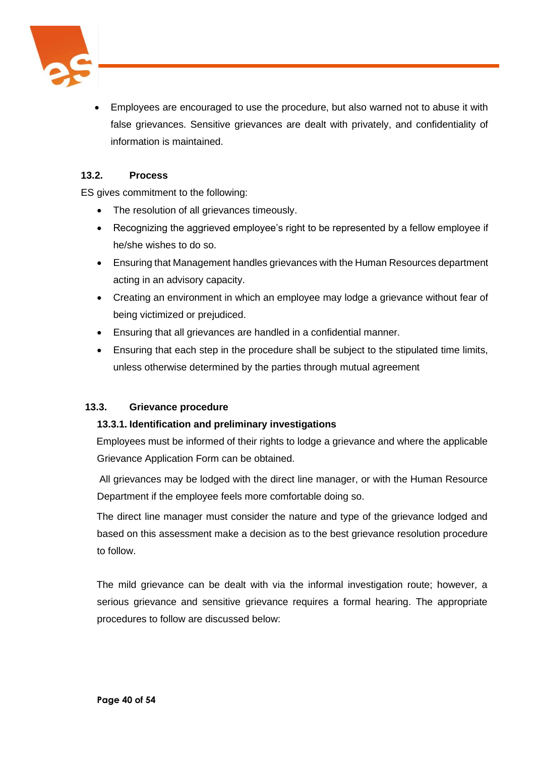

• Employees are encouraged to use the procedure, but also warned not to abuse it with false grievances. Sensitive grievances are dealt with privately, and confidentiality of information is maintained.

## **13.2. Process**

ES gives commitment to the following:

- The resolution of all grievances timeously.
- Recognizing the aggrieved employee's right to be represented by a fellow employee if he/she wishes to do so.
- Ensuring that Management handles grievances with the Human Resources department acting in an advisory capacity.
- Creating an environment in which an employee may lodge a grievance without fear of being victimized or prejudiced.
- Ensuring that all grievances are handled in a confidential manner.
- Ensuring that each step in the procedure shall be subject to the stipulated time limits, unless otherwise determined by the parties through mutual agreement

#### **13.3. Grievance procedure**

#### **13.3.1. Identification and preliminary investigations**

Employees must be informed of their rights to lodge a grievance and where the applicable Grievance Application Form can be obtained.

All grievances may be lodged with the direct line manager, or with the Human Resource Department if the employee feels more comfortable doing so.

The direct line manager must consider the nature and type of the grievance lodged and based on this assessment make a decision as to the best grievance resolution procedure to follow.

The mild grievance can be dealt with via the informal investigation route; however, a serious grievance and sensitive grievance requires a formal hearing. The appropriate procedures to follow are discussed below: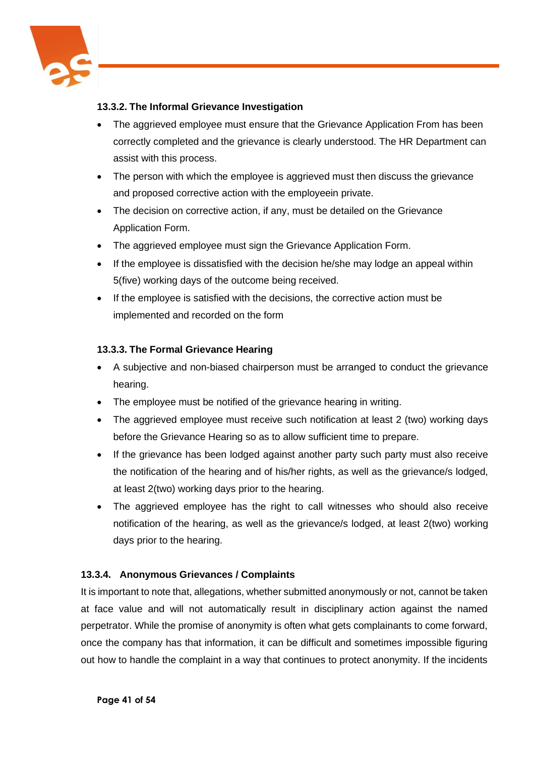

## **13.3.2. The Informal Grievance Investigation**

- The aggrieved employee must ensure that the Grievance Application From has been correctly completed and the grievance is clearly understood. The HR Department can assist with this process.
- The person with which the employee is aggrieved must then discuss the grievance and proposed corrective action with the employeein private.
- The decision on corrective action, if any, must be detailed on the Grievance Application Form.
- The aggrieved employee must sign the Grievance Application Form.
- If the employee is dissatisfied with the decision he/she may lodge an appeal within 5(five) working days of the outcome being received.
- If the employee is satisfied with the decisions, the corrective action must be implemented and recorded on the form

## **13.3.3. The Formal Grievance Hearing**

- A subjective and non-biased chairperson must be arranged to conduct the grievance hearing.
- The employee must be notified of the grievance hearing in writing.
- The aggrieved employee must receive such notification at least 2 (two) working days before the Grievance Hearing so as to allow sufficient time to prepare.
- If the grievance has been lodged against another party such party must also receive the notification of the hearing and of his/her rights, as well as the grievance/s lodged, at least 2(two) working days prior to the hearing.
- The aggrieved employee has the right to call witnesses who should also receive notification of the hearing, as well as the grievance/s lodged, at least 2(two) working days prior to the hearing.

## **13.3.4. Anonymous Grievances / Complaints**

It is important to note that, allegations, whether submitted anonymously or not, cannot be taken at face value and will not automatically result in disciplinary action against the named perpetrator. While the promise of anonymity is often what gets complainants to come forward, once the company has that information, it can be difficult and sometimes impossible figuring out how to handle the complaint in a way that continues to protect anonymity. If the incidents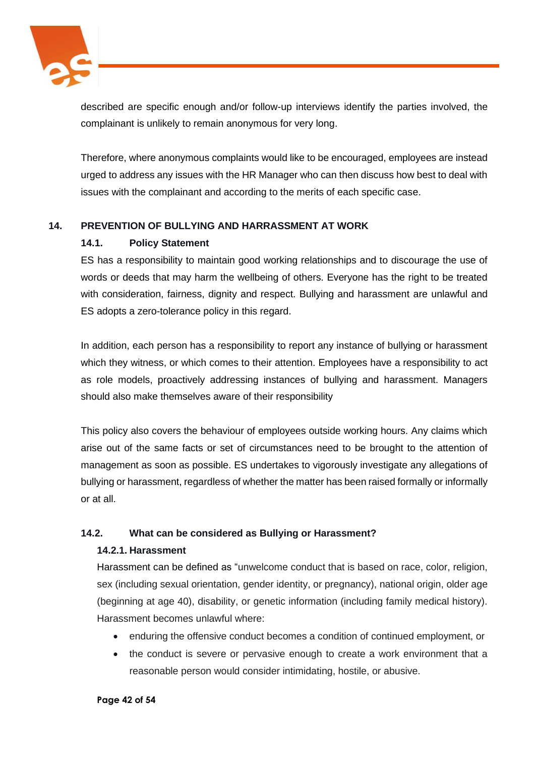

described are specific enough and/or follow-up interviews identify the parties involved, the complainant is unlikely to remain anonymous for very long.

Therefore, where anonymous complaints would like to be encouraged, employees are instead urged to address any issues with the HR Manager who can then discuss how best to deal with issues with the complainant and according to the merits of each specific case.

## **14. PREVENTION OF BULLYING AND HARRASSMENT AT WORK**

## **14.1. Policy Statement**

ES has a responsibility to maintain good working relationships and to discourage the use of words or deeds that may harm the wellbeing of others. Everyone has the right to be treated with consideration, fairness, dignity and respect. Bullying and harassment are unlawful and ES adopts a zero-tolerance policy in this regard.

In addition, each person has a responsibility to report any instance of bullying or harassment which they witness, or which comes to their attention. Employees have a responsibility to act as role models, proactively addressing instances of bullying and harassment. Managers should also make themselves aware of their responsibility

This policy also covers the behaviour of employees outside working hours. Any claims which arise out of the same facts or set of circumstances need to be brought to the attention of management as soon as possible. ES undertakes to vigorously investigate any allegations of bullying or harassment, regardless of whether the matter has been raised formally or informally or at all.

## **14.2. What can be considered as Bullying or Harassment?**

#### **14.2.1. Harassment**

Harassment can be defined as "unwelcome conduct that is based on race, color, religion, sex (including sexual orientation, gender identity, or pregnancy), national origin, older age (beginning at age 40), disability, or genetic information (including family medical history). Harassment becomes unlawful where:

- enduring the offensive conduct becomes a condition of continued employment, or
- the conduct is severe or pervasive enough to create a work environment that a reasonable person would consider intimidating, hostile, or abusive.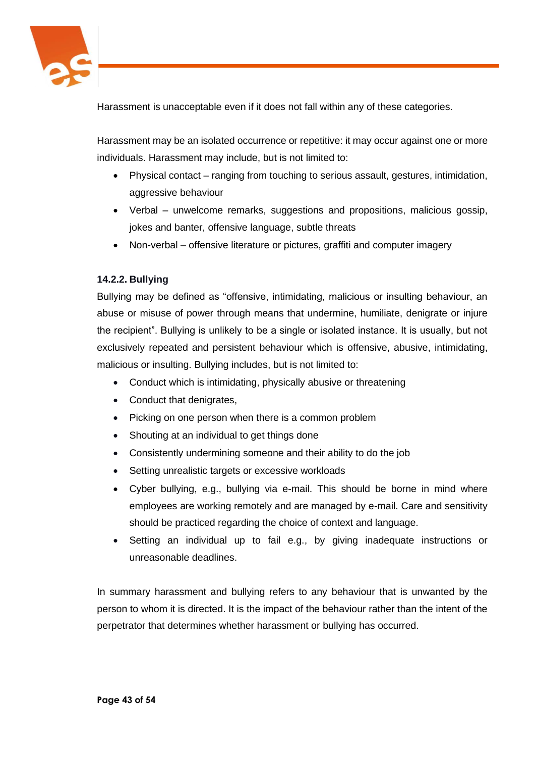

Harassment is unacceptable even if it does not fall within any of these categories.

Harassment may be an isolated occurrence or repetitive: it may occur against one or more individuals. Harassment may include, but is not limited to:

- Physical contact ranging from touching to serious assault, gestures, intimidation, aggressive behaviour
- Verbal unwelcome remarks, suggestions and propositions, malicious gossip, jokes and banter, offensive language, subtle threats
- Non-verbal offensive literature or pictures, graffiti and computer imagery

## **14.2.2. Bullying**

Bullying may be defined as "offensive, intimidating, malicious or insulting behaviour, an abuse or misuse of power through means that undermine, humiliate, denigrate or injure the recipient". Bullying is unlikely to be a single or isolated instance. It is usually, but not exclusively repeated and persistent behaviour which is offensive, abusive, intimidating, malicious or insulting. Bullying includes, but is not limited to:

- Conduct which is intimidating, physically abusive or threatening
- Conduct that denigrates,
- Picking on one person when there is a common problem
- Shouting at an individual to get things done
- Consistently undermining someone and their ability to do the job
- Setting unrealistic targets or excessive workloads
- Cyber bullying, e.g., bullying via e-mail. This should be borne in mind where employees are working remotely and are managed by e-mail. Care and sensitivity should be practiced regarding the choice of context and language.
- Setting an individual up to fail e.g., by giving inadequate instructions or unreasonable deadlines.

In summary harassment and bullying refers to any behaviour that is unwanted by the person to whom it is directed. It is the impact of the behaviour rather than the intent of the perpetrator that determines whether harassment or bullying has occurred.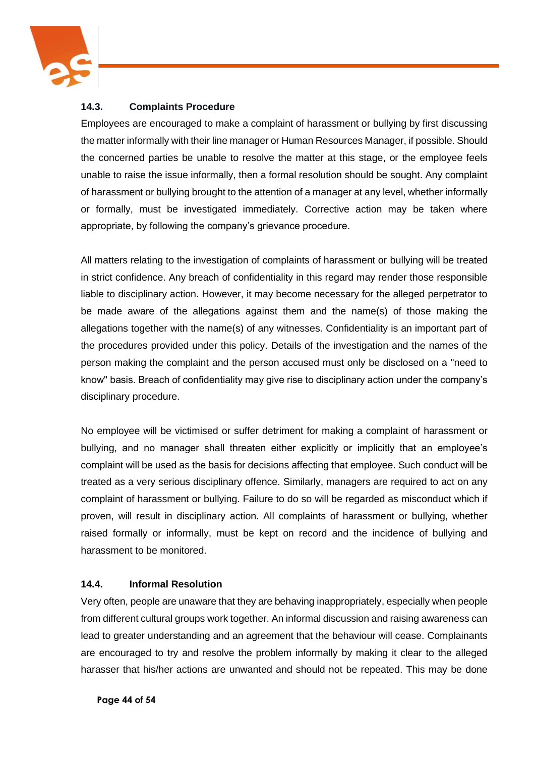

## **14.3. Complaints Procedure**

Employees are encouraged to make a complaint of harassment or bullying by first discussing the matter informally with their line manager or Human Resources Manager, if possible. Should the concerned parties be unable to resolve the matter at this stage, or the employee feels unable to raise the issue informally, then a formal resolution should be sought. Any complaint of harassment or bullying brought to the attention of a manager at any level, whether informally or formally, must be investigated immediately. Corrective action may be taken where appropriate, by following the company's grievance procedure.

All matters relating to the investigation of complaints of harassment or bullying will be treated in strict confidence. Any breach of confidentiality in this regard may render those responsible liable to disciplinary action. However, it may become necessary for the alleged perpetrator to be made aware of the allegations against them and the name(s) of those making the allegations together with the name(s) of any witnesses. Confidentiality is an important part of the procedures provided under this policy. Details of the investigation and the names of the person making the complaint and the person accused must only be disclosed on a "need to know" basis. Breach of confidentiality may give rise to disciplinary action under the company's disciplinary procedure.

No employee will be victimised or suffer detriment for making a complaint of harassment or bullying, and no manager shall threaten either explicitly or implicitly that an employee's complaint will be used as the basis for decisions affecting that employee. Such conduct will be treated as a very serious disciplinary offence. Similarly, managers are required to act on any complaint of harassment or bullying. Failure to do so will be regarded as misconduct which if proven, will result in disciplinary action. All complaints of harassment or bullying, whether raised formally or informally, must be kept on record and the incidence of bullying and harassment to be monitored.

## **14.4. Informal Resolution**

Very often, people are unaware that they are behaving inappropriately, especially when people from different cultural groups work together. An informal discussion and raising awareness can lead to greater understanding and an agreement that the behaviour will cease. Complainants are encouraged to try and resolve the problem informally by making it clear to the alleged harasser that his/her actions are unwanted and should not be repeated. This may be done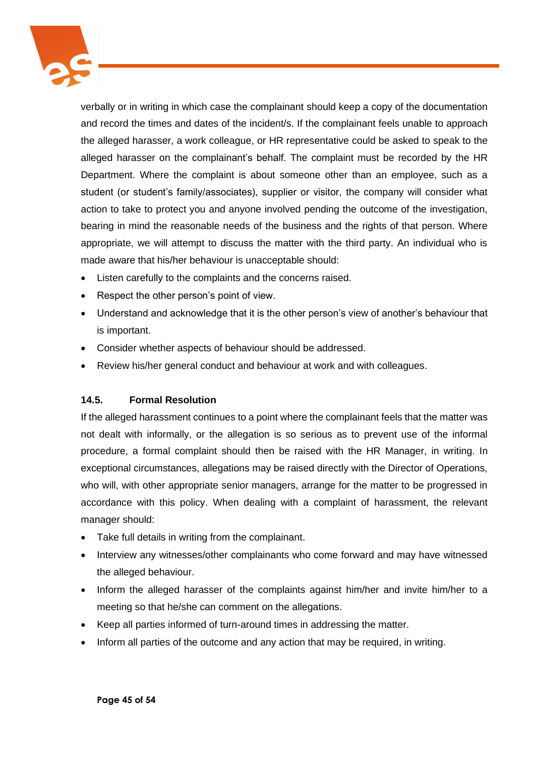

verbally or in writing in which case the complainant should keep a copy of the documentation and record the times and dates of the incident/s. If the complainant feels unable to approach the alleged harasser, a work colleague, or HR representative could be asked to speak to the alleged harasser on the complainant's behalf. The complaint must be recorded by the HR Department. Where the complaint is about someone other than an employee, such as a student (or student's family/associates), supplier or visitor, the company will consider what action to take to protect you and anyone involved pending the outcome of the investigation, bearing in mind the reasonable needs of the business and the rights of that person. Where appropriate, we will attempt to discuss the matter with the third party. An individual who is made aware that his/her behaviour is unacceptable should:

- Listen carefully to the complaints and the concerns raised.
- Respect the other person's point of view.
- Understand and acknowledge that it is the other person's view of another's behaviour that is important.
- Consider whether aspects of behaviour should be addressed.
- Review his/her general conduct and behaviour at work and with colleagues.

## **14.5. Formal Resolution**

If the alleged harassment continues to a point where the complainant feels that the matter was not dealt with informally, or the allegation is so serious as to prevent use of the informal procedure, a formal complaint should then be raised with the HR Manager, in writing. In exceptional circumstances, allegations may be raised directly with the Director of Operations, who will, with other appropriate senior managers, arrange for the matter to be progressed in accordance with this policy. When dealing with a complaint of harassment, the relevant manager should:

- Take full details in writing from the complainant.
- Interview any witnesses/other complainants who come forward and may have witnessed the alleged behaviour.
- Inform the alleged harasser of the complaints against him/her and invite him/her to a meeting so that he/she can comment on the allegations.
- Keep all parties informed of turn-around times in addressing the matter.
- Inform all parties of the outcome and any action that may be required, in writing.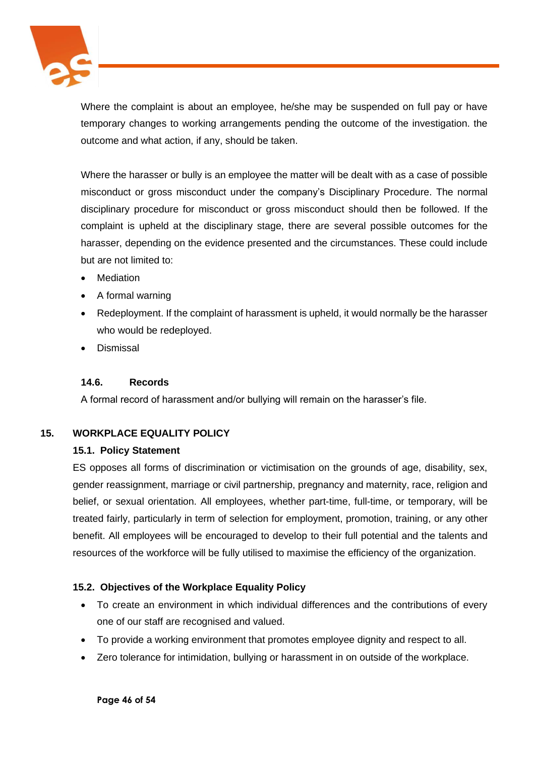

Where the complaint is about an employee, he/she may be suspended on full pay or have temporary changes to working arrangements pending the outcome of the investigation. the outcome and what action, if any, should be taken.

Where the harasser or bully is an employee the matter will be dealt with as a case of possible misconduct or gross misconduct under the company's Disciplinary Procedure. The normal disciplinary procedure for misconduct or gross misconduct should then be followed. If the complaint is upheld at the disciplinary stage, there are several possible outcomes for the harasser, depending on the evidence presented and the circumstances. These could include but are not limited to:

- **Mediation**
- A formal warning
- Redeployment. If the complaint of harassment is upheld, it would normally be the harasser who would be redeployed.
- Dismissal

## **14.6. Records**

A formal record of harassment and/or bullying will remain on the harasser's file.

## **15. WORKPLACE EQUALITY POLICY**

#### **15.1. Policy Statement**

ES opposes all forms of discrimination or victimisation on the grounds of age, disability, sex, gender reassignment, marriage or civil partnership, pregnancy and maternity, race, religion and belief, or sexual orientation. All employees, whether part-time, full-time, or temporary, will be treated fairly, particularly in term of selection for employment, promotion, training, or any other benefit. All employees will be encouraged to develop to their full potential and the talents and resources of the workforce will be fully utilised to maximise the efficiency of the organization.

## **15.2. Objectives of the Workplace Equality Policy**

- To create an environment in which individual differences and the contributions of every one of our staff are recognised and valued.
- To provide a working environment that promotes employee dignity and respect to all.
- Zero tolerance for intimidation, bullying or harassment in on outside of the workplace.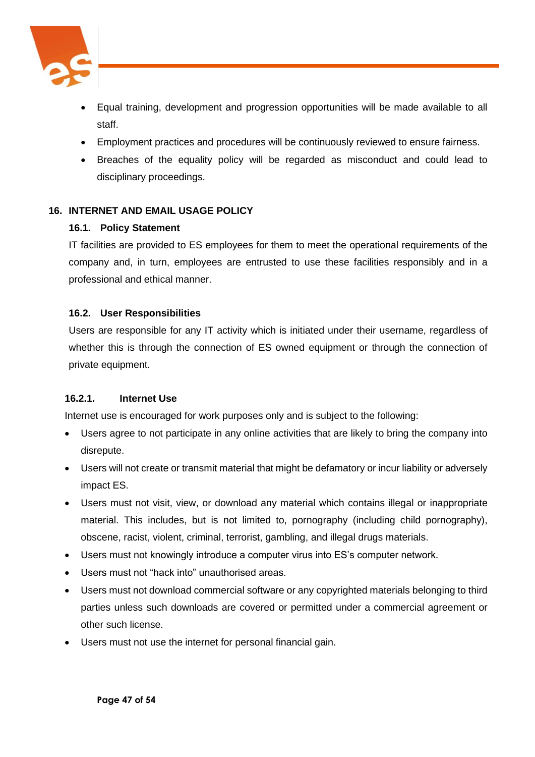

- Equal training, development and progression opportunities will be made available to all staff.
- Employment practices and procedures will be continuously reviewed to ensure fairness.
- Breaches of the equality policy will be regarded as misconduct and could lead to disciplinary proceedings.

## **16. INTERNET AND EMAIL USAGE POLICY**

#### **16.1. Policy Statement**

IT facilities are provided to ES employees for them to meet the operational requirements of the company and, in turn, employees are entrusted to use these facilities responsibly and in a professional and ethical manner.

## **16.2. User Responsibilities**

Users are responsible for any IT activity which is initiated under their username, regardless of whether this is through the connection of ES owned equipment or through the connection of private equipment.

#### **16.2.1. Internet Use**

Internet use is encouraged for work purposes only and is subject to the following:

- Users agree to not participate in any online activities that are likely to bring the company into disrepute.
- Users will not create or transmit material that might be defamatory or incur liability or adversely impact ES.
- Users must not visit, view, or download any material which contains illegal or inappropriate material. This includes, but is not limited to, pornography (including child pornography), obscene, racist, violent, criminal, terrorist, gambling, and illegal drugs materials.
- Users must not knowingly introduce a computer virus into ES's computer network.
- Users must not "hack into" unauthorised areas.
- Users must not download commercial software or any copyrighted materials belonging to third parties unless such downloads are covered or permitted under a commercial agreement or other such license.
- Users must not use the internet for personal financial gain.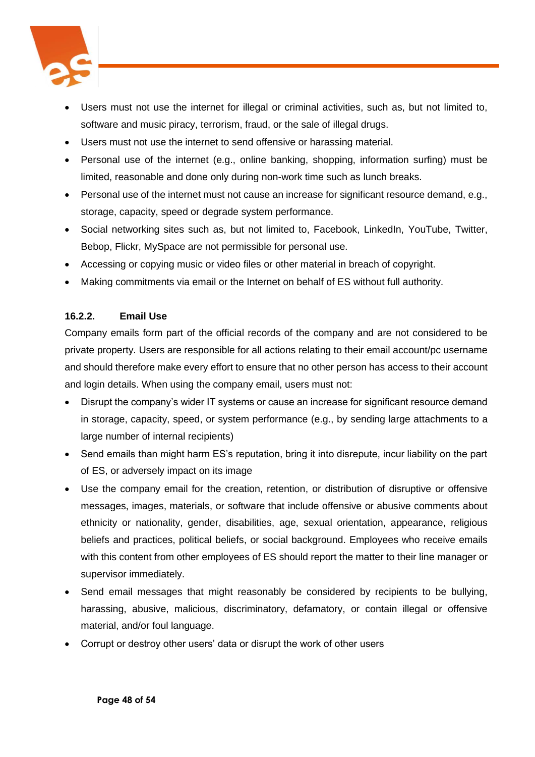

- Users must not use the internet for illegal or criminal activities, such as, but not limited to, software and music piracy, terrorism, fraud, or the sale of illegal drugs.
- Users must not use the internet to send offensive or harassing material.
- Personal use of the internet (e.g., online banking, shopping, information surfing) must be limited, reasonable and done only during non-work time such as lunch breaks.
- Personal use of the internet must not cause an increase for significant resource demand, e.g., storage, capacity, speed or degrade system performance.
- Social networking sites such as, but not limited to, Facebook, LinkedIn, YouTube, Twitter, Bebop, Flickr, MySpace are not permissible for personal use.
- Accessing or copying music or video files or other material in breach of copyright.
- Making commitments via email or the Internet on behalf of ES without full authority.

## **16.2.2. Email Use**

Company emails form part of the official records of the company and are not considered to be private property. Users are responsible for all actions relating to their email account/pc username and should therefore make every effort to ensure that no other person has access to their account and login details. When using the company email, users must not:

- Disrupt the company's wider IT systems or cause an increase for significant resource demand in storage, capacity, speed, or system performance (e.g., by sending large attachments to a large number of internal recipients)
- Send emails than might harm ES's reputation, bring it into disrepute, incur liability on the part of ES, or adversely impact on its image
- Use the company email for the creation, retention, or distribution of disruptive or offensive messages, images, materials, or software that include offensive or abusive comments about ethnicity or nationality, gender, disabilities, age, sexual orientation, appearance, religious beliefs and practices, political beliefs, or social background. Employees who receive emails with this content from other employees of ES should report the matter to their line manager or supervisor immediately.
- Send email messages that might reasonably be considered by recipients to be bullying, harassing, abusive, malicious, discriminatory, defamatory, or contain illegal or offensive material, and/or foul language.
- Corrupt or destroy other users' data or disrupt the work of other users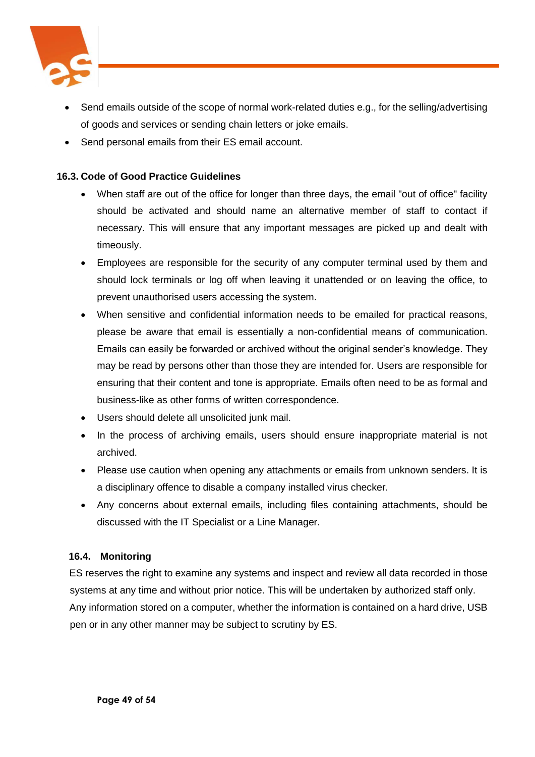

- Send emails outside of the scope of normal work-related duties e.g., for the selling/advertising of goods and services or sending chain letters or joke emails.
- Send personal emails from their ES email account.

## **16.3. Code of Good Practice Guidelines**

- When staff are out of the office for longer than three days, the email "out of office" facility should be activated and should name an alternative member of staff to contact if necessary. This will ensure that any important messages are picked up and dealt with timeously.
- Employees are responsible for the security of any computer terminal used by them and should lock terminals or log off when leaving it unattended or on leaving the office, to prevent unauthorised users accessing the system.
- When sensitive and confidential information needs to be emailed for practical reasons, please be aware that email is essentially a non-confidential means of communication. Emails can easily be forwarded or archived without the original sender's knowledge. They may be read by persons other than those they are intended for. Users are responsible for ensuring that their content and tone is appropriate. Emails often need to be as formal and business-like as other forms of written correspondence.
- Users should delete all unsolicited junk mail.
- In the process of archiving emails, users should ensure inappropriate material is not archived.
- Please use caution when opening any attachments or emails from unknown senders. It is a disciplinary offence to disable a company installed virus checker.
- Any concerns about external emails, including files containing attachments, should be discussed with the IT Specialist or a Line Manager.

## **16.4. Monitoring**

ES reserves the right to examine any systems and inspect and review all data recorded in those systems at any time and without prior notice. This will be undertaken by authorized staff only. Any information stored on a computer, whether the information is contained on a hard drive, USB pen or in any other manner may be subject to scrutiny by ES.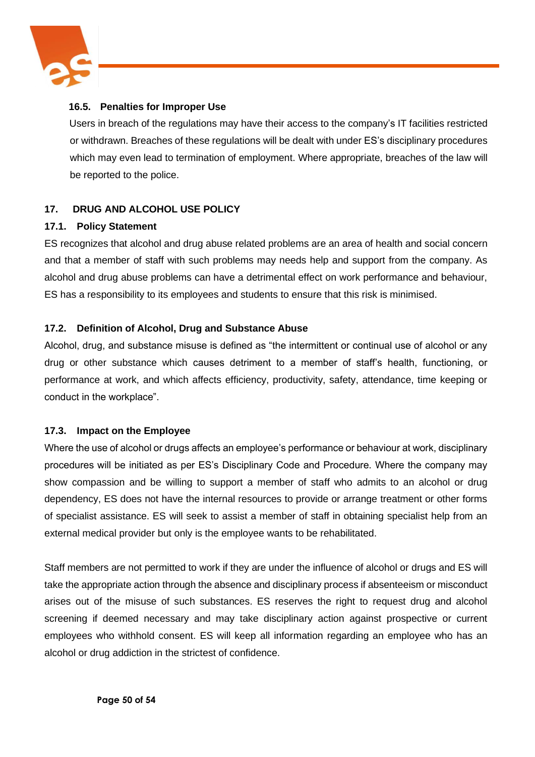

## **16.5. Penalties for Improper Use**

Users in breach of the regulations may have their access to the company's IT facilities restricted or withdrawn. Breaches of these regulations will be dealt with under ES's disciplinary procedures which may even lead to termination of employment. Where appropriate, breaches of the law will be reported to the police.

## **17. DRUG AND ALCOHOL USE POLICY**

#### **17.1. Policy Statement**

ES recognizes that alcohol and drug abuse related problems are an area of health and social concern and that a member of staff with such problems may needs help and support from the company. As alcohol and drug abuse problems can have a detrimental effect on work performance and behaviour, ES has a responsibility to its employees and students to ensure that this risk is minimised.

## **17.2. Definition of Alcohol, Drug and Substance Abuse**

Alcohol, drug, and substance misuse is defined as "the intermittent or continual use of alcohol or any drug or other substance which causes detriment to a member of staff's health, functioning, or performance at work, and which affects efficiency, productivity, safety, attendance, time keeping or conduct in the workplace".

## **17.3. Impact on the Employee**

Where the use of alcohol or drugs affects an employee's performance or behaviour at work, disciplinary procedures will be initiated as per ES's Disciplinary Code and Procedure. Where the company may show compassion and be willing to support a member of staff who admits to an alcohol or drug dependency, ES does not have the internal resources to provide or arrange treatment or other forms of specialist assistance. ES will seek to assist a member of staff in obtaining specialist help from an external medical provider but only is the employee wants to be rehabilitated.

Staff members are not permitted to work if they are under the influence of alcohol or drugs and ES will take the appropriate action through the absence and disciplinary process if absenteeism or misconduct arises out of the misuse of such substances. ES reserves the right to request drug and alcohol screening if deemed necessary and may take disciplinary action against prospective or current employees who withhold consent. ES will keep all information regarding an employee who has an alcohol or drug addiction in the strictest of confidence.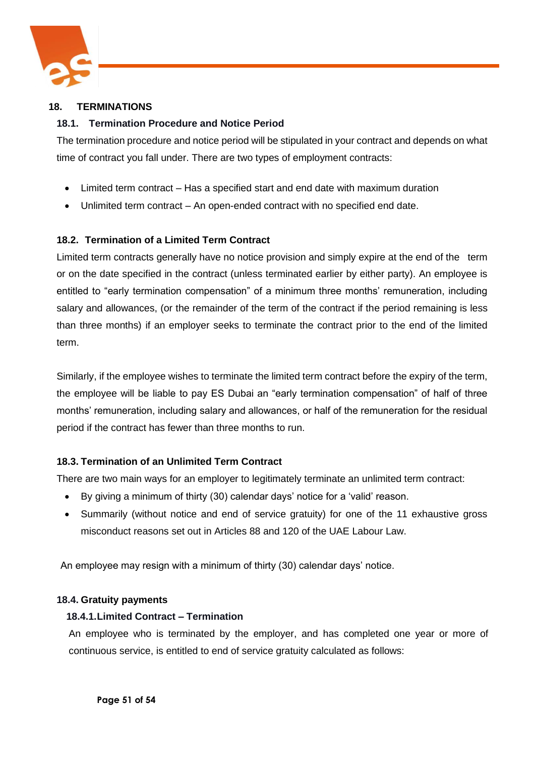

## **18. TERMINATIONS**

## **18.1. Termination Procedure and Notice Period**

The termination procedure and notice period will be stipulated in your contract and depends on what time of contract you fall under. There are two types of employment contracts:

- Limited term contract Has a specified start and end date with maximum duration
- Unlimited term contract An open-ended contract with no specified end date.

## **18.2. Termination of a Limited Term Contract**

Limited term contracts generally have no notice provision and simply expire at the end of the term or on the date specified in the contract (unless terminated earlier by either party). An employee is entitled to "early termination compensation" of a minimum three months' remuneration, including salary and allowances, (or the remainder of the term of the contract if the period remaining is less than three months) if an employer seeks to terminate the contract prior to the end of the limited term.

Similarly, if the employee wishes to terminate the limited term contract before the expiry of the term, the employee will be liable to pay ES Dubai an "early termination compensation" of half of three months' remuneration, including salary and allowances, or half of the remuneration for the residual period if the contract has fewer than three months to run.

#### **18.3. Termination of an Unlimited Term Contract**

There are two main ways for an employer to legitimately terminate an unlimited term contract:

- By giving a minimum of thirty (30) calendar days' notice for a 'valid' reason.
- Summarily (without notice and end of service gratuity) for one of the 11 exhaustive gross misconduct reasons set out in Articles 88 and 120 of the UAE Labour Law.

An employee may resign with a minimum of thirty (30) calendar days' notice.

#### **18.4. Gratuity payments**

#### **18.4.1.Limited Contract – Termination**

An employee who is terminated by the employer, and has completed one year or more of continuous service, is entitled to end of service gratuity calculated as follows: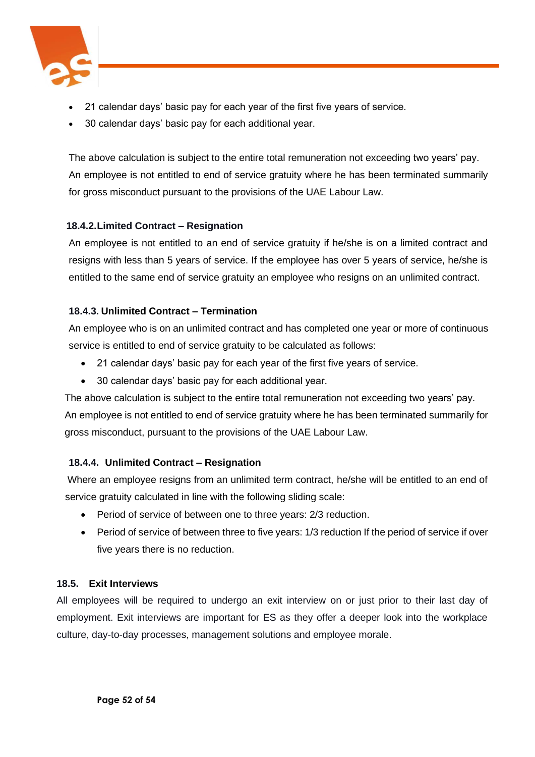

- 21 calendar days' basic pay for each year of the first five years of service.
- 30 calendar days' basic pay for each additional year.

The above calculation is subject to the entire total remuneration not exceeding two years' pay. An employee is not entitled to end of service gratuity where he has been terminated summarily for gross misconduct pursuant to the provisions of the UAE Labour Law.

## **18.4.2.Limited Contract – Resignation**

An employee is not entitled to an end of service gratuity if he/she is on a limited contract and resigns with less than 5 years of service. If the employee has over 5 years of service, he/she is entitled to the same end of service gratuity an employee who resigns on an unlimited contract.

## **18.4.3. Unlimited Contract – Termination**

An employee who is on an unlimited contract and has completed one year or more of continuous service is entitled to end of service gratuity to be calculated as follows:

- 21 calendar days' basic pay for each year of the first five years of service.
- 30 calendar days' basic pay for each additional year.

The above calculation is subject to the entire total remuneration not exceeding two years' pay. An employee is not entitled to end of service gratuity where he has been terminated summarily for gross misconduct, pursuant to the provisions of the UAE Labour Law.

## **18.4.4. Unlimited Contract – Resignation**

Where an employee resigns from an unlimited term contract, he/she will be entitled to an end of service gratuity calculated in line with the following sliding scale:

- Period of service of between one to three years: 2/3 reduction.
- Period of service of between three to five years: 1/3 reduction If the period of service if over five years there is no reduction.

## **18.5. Exit Interviews**

All employees will be required to undergo an exit interview on or just prior to their last day of employment. Exit interviews are important for ES as they offer a deeper look into the workplace culture, day-to-day processes, management solutions and employee morale.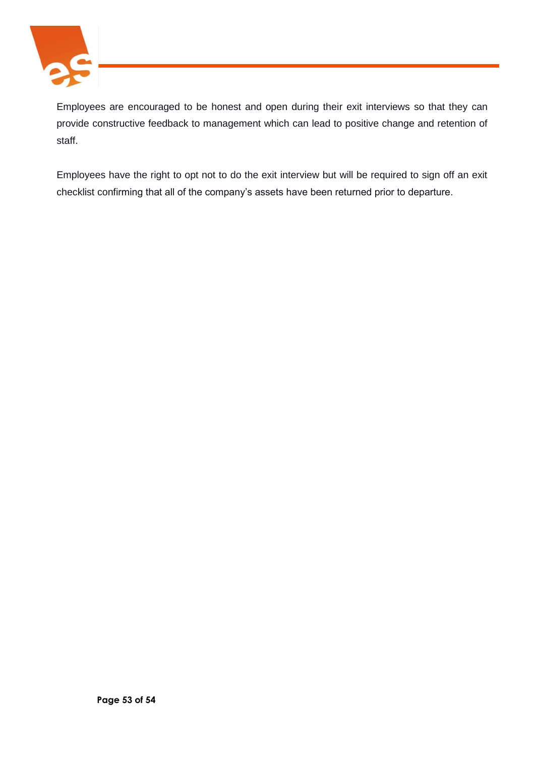

Employees are encouraged to be honest and open during their exit interviews so that they can provide constructive feedback to management which can lead to positive change and retention of staff.

Employees have the right to opt not to do the exit interview but will be required to sign off an exit checklist confirming that all of the company's assets have been returned prior to departure.